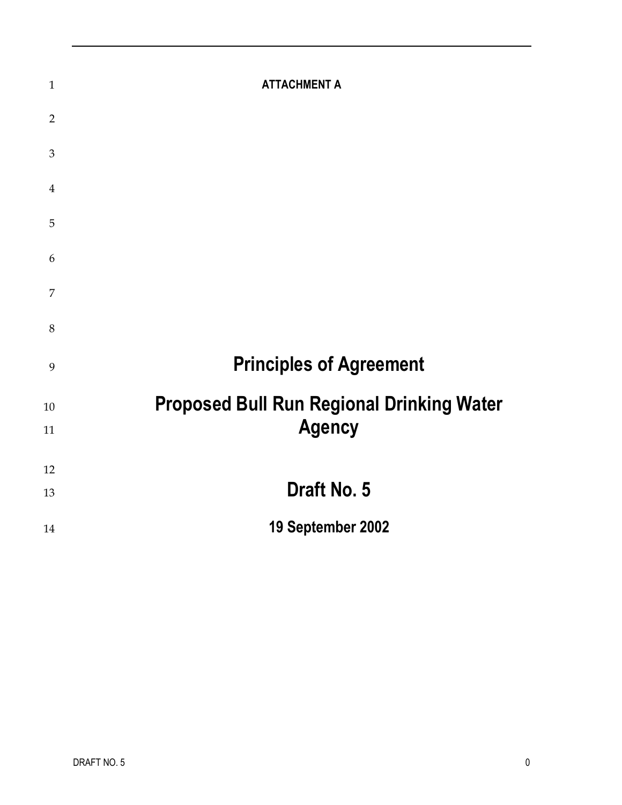| $\mathbf{1}$   | <b>ATTACHMENT A</b>                              |
|----------------|--------------------------------------------------|
| $\overline{2}$ |                                                  |
| $\mathfrak{B}$ |                                                  |
| $\overline{4}$ |                                                  |
| 5              |                                                  |
| 6              |                                                  |
| $\overline{7}$ |                                                  |
| 8              |                                                  |
| 9              | <b>Principles of Agreement</b>                   |
| 10             | <b>Proposed Bull Run Regional Drinking Water</b> |
| 11             | <b>Agency</b>                                    |
| 12             |                                                  |
| 13             | Draft No. 5                                      |
| 14             | 19 September 2002                                |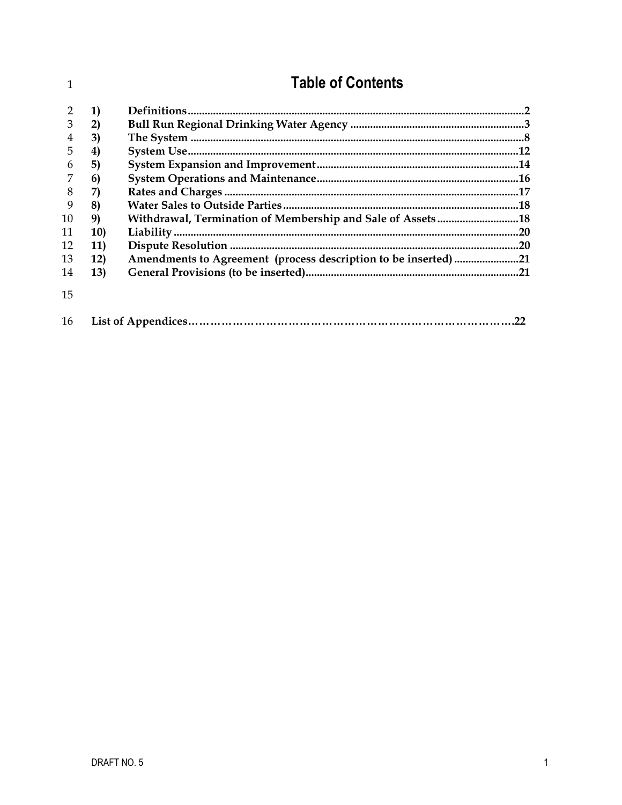| 1              |            | <b>Table of Contents</b>                                       |  |
|----------------|------------|----------------------------------------------------------------|--|
|                | 1)         |                                                                |  |
| 3              | 2)         |                                                                |  |
| $\overline{4}$ | 3)         |                                                                |  |
| 5              | 4)         |                                                                |  |
| 6              | 5)         |                                                                |  |
|                | 6)         |                                                                |  |
| 8              | 7)         |                                                                |  |
| 9              | 8)         |                                                                |  |
| 10             | 9)         | Withdrawal, Termination of Membership and Sale of Assets  18   |  |
| 11             | <b>10)</b> |                                                                |  |
| 12             | 11)        |                                                                |  |
| 13             | <b>12)</b> | Amendments to Agreement (process description to be inserted)21 |  |
| 14             | <b>13)</b> |                                                                |  |
| 15             |            |                                                                |  |
| 16             |            |                                                                |  |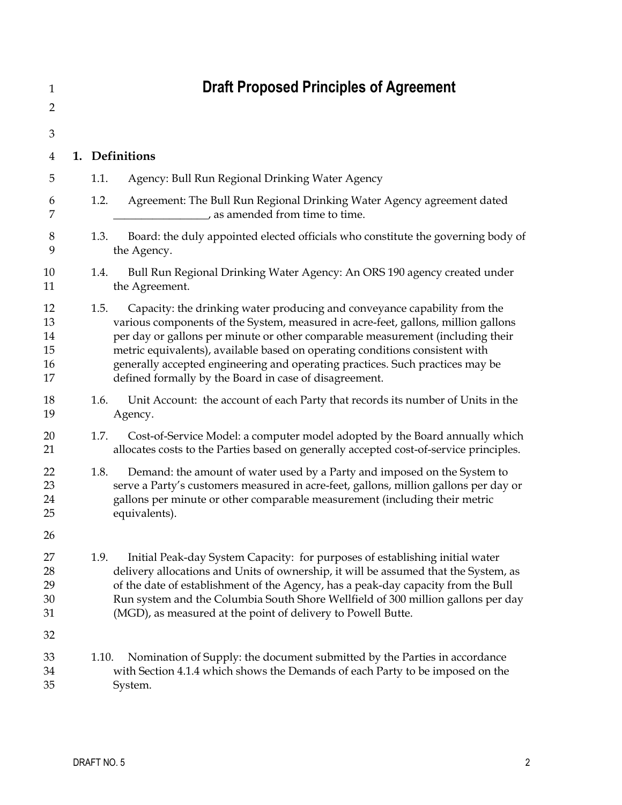<span id="page-2-0"></span>

| 1                                |       | <b>Draft Proposed Principles of Agreement</b>                                                                                                                                                                                                                                                                                                                                                                                                                               |
|----------------------------------|-------|-----------------------------------------------------------------------------------------------------------------------------------------------------------------------------------------------------------------------------------------------------------------------------------------------------------------------------------------------------------------------------------------------------------------------------------------------------------------------------|
| 2                                |       |                                                                                                                                                                                                                                                                                                                                                                                                                                                                             |
| 3                                |       |                                                                                                                                                                                                                                                                                                                                                                                                                                                                             |
| 4                                |       | 1. Definitions                                                                                                                                                                                                                                                                                                                                                                                                                                                              |
| 5                                | 1.1.  | Agency: Bull Run Regional Drinking Water Agency                                                                                                                                                                                                                                                                                                                                                                                                                             |
| 6<br>7                           | 1.2.  | Agreement: The Bull Run Regional Drinking Water Agency agreement dated<br>s as amended from time to time.                                                                                                                                                                                                                                                                                                                                                                   |
| 8<br>9                           | 1.3.  | Board: the duly appointed elected officials who constitute the governing body of<br>the Agency.                                                                                                                                                                                                                                                                                                                                                                             |
| 10<br>11                         | 1.4.  | Bull Run Regional Drinking Water Agency: An ORS 190 agency created under<br>the Agreement.                                                                                                                                                                                                                                                                                                                                                                                  |
| 12<br>13<br>14<br>15<br>16<br>17 | 1.5.  | Capacity: the drinking water producing and conveyance capability from the<br>various components of the System, measured in acre-feet, gallons, million gallons<br>per day or gallons per minute or other comparable measurement (including their<br>metric equivalents), available based on operating conditions consistent with<br>generally accepted engineering and operating practices. Such practices may be<br>defined formally by the Board in case of disagreement. |
| 18<br>19                         | 1.6.  | Unit Account: the account of each Party that records its number of Units in the<br>Agency.                                                                                                                                                                                                                                                                                                                                                                                  |
| 20<br>21                         | 1.7.  | Cost-of-Service Model: a computer model adopted by the Board annually which<br>allocates costs to the Parties based on generally accepted cost-of-service principles.                                                                                                                                                                                                                                                                                                       |
| 22<br>23<br>24<br>25             | 1.8.  | Demand: the amount of water used by a Party and imposed on the System to<br>serve a Party's customers measured in acre-feet, gallons, million gallons per day or<br>gallons per minute or other comparable measurement (including their metric<br>equivalents).                                                                                                                                                                                                             |
| 26                               |       |                                                                                                                                                                                                                                                                                                                                                                                                                                                                             |
| 27<br>28<br>29<br>30<br>31       | 1.9.  | Initial Peak-day System Capacity: for purposes of establishing initial water<br>delivery allocations and Units of ownership, it will be assumed that the System, as<br>of the date of establishment of the Agency, has a peak-day capacity from the Bull<br>Run system and the Columbia South Shore Wellfield of 300 million gallons per day<br>(MGD), as measured at the point of delivery to Powell Butte.                                                                |
| 32                               |       |                                                                                                                                                                                                                                                                                                                                                                                                                                                                             |
| 33<br>34<br>35                   | 1.10. | Nomination of Supply: the document submitted by the Parties in accordance<br>with Section 4.1.4 which shows the Demands of each Party to be imposed on the<br>System.                                                                                                                                                                                                                                                                                                       |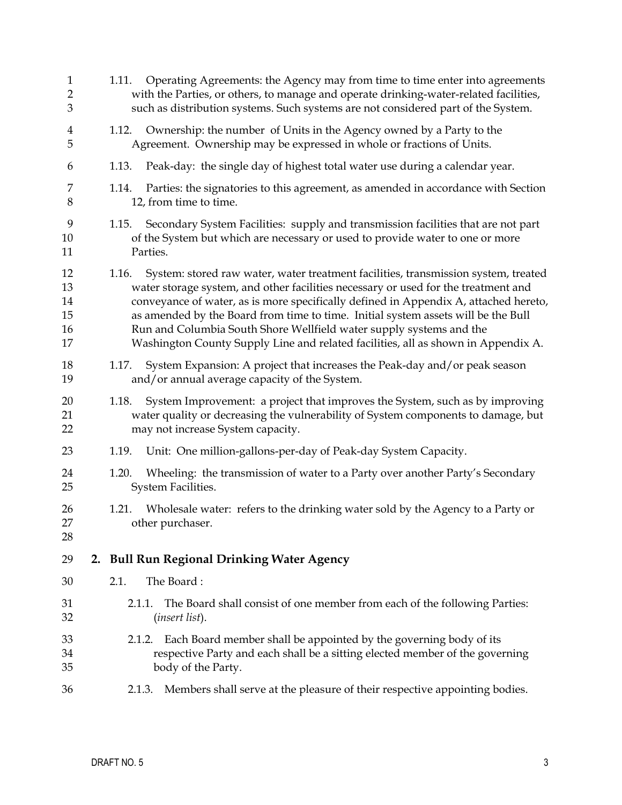<span id="page-3-0"></span>

| $\mathbf{1}$<br>2<br>$\mathfrak{B}$ | Operating Agreements: the Agency may from time to time enter into agreements<br>1.11.<br>with the Parties, or others, to manage and operate drinking-water-related facilities,<br>such as distribution systems. Such systems are not considered part of the System.                                                                                                                                                                                                                                                        |
|-------------------------------------|----------------------------------------------------------------------------------------------------------------------------------------------------------------------------------------------------------------------------------------------------------------------------------------------------------------------------------------------------------------------------------------------------------------------------------------------------------------------------------------------------------------------------|
| 4<br>5                              | Ownership: the number of Units in the Agency owned by a Party to the<br>1.12.<br>Agreement. Ownership may be expressed in whole or fractions of Units.                                                                                                                                                                                                                                                                                                                                                                     |
| 6                                   | Peak-day: the single day of highest total water use during a calendar year.<br>1.13.                                                                                                                                                                                                                                                                                                                                                                                                                                       |
| 7<br>8                              | Parties: the signatories to this agreement, as amended in accordance with Section<br>1.14.<br>12, from time to time.                                                                                                                                                                                                                                                                                                                                                                                                       |
| 9<br>10<br>11                       | Secondary System Facilities: supply and transmission facilities that are not part<br>1.15.<br>of the System but which are necessary or used to provide water to one or more<br>Parties.                                                                                                                                                                                                                                                                                                                                    |
| 12<br>13<br>14<br>15<br>16<br>17    | System: stored raw water, water treatment facilities, transmission system, treated<br>1.16.<br>water storage system, and other facilities necessary or used for the treatment and<br>conveyance of water, as is more specifically defined in Appendix A, attached hereto,<br>as amended by the Board from time to time. Initial system assets will be the Bull<br>Run and Columbia South Shore Wellfield water supply systems and the<br>Washington County Supply Line and related facilities, all as shown in Appendix A. |
| 18<br>19                            | System Expansion: A project that increases the Peak-day and/or peak season<br>1.17.<br>and/or annual average capacity of the System.                                                                                                                                                                                                                                                                                                                                                                                       |
| 20<br>21<br>22                      | System Improvement: a project that improves the System, such as by improving<br>1.18.<br>water quality or decreasing the vulnerability of System components to damage, but<br>may not increase System capacity.                                                                                                                                                                                                                                                                                                            |
| 23                                  | Unit: One million-gallons-per-day of Peak-day System Capacity.<br>1.19.                                                                                                                                                                                                                                                                                                                                                                                                                                                    |
| 24<br>25                            | 1.20.<br>Wheeling: the transmission of water to a Party over another Party's Secondary<br>System Facilities.                                                                                                                                                                                                                                                                                                                                                                                                               |
| 26<br>27<br>28                      | Wholesale water: refers to the drinking water sold by the Agency to a Party or<br>1.21.<br>other purchaser.                                                                                                                                                                                                                                                                                                                                                                                                                |
| 29                                  | 2. Bull Run Regional Drinking Water Agency                                                                                                                                                                                                                                                                                                                                                                                                                                                                                 |
| 30                                  | The Board:<br>2.1.                                                                                                                                                                                                                                                                                                                                                                                                                                                                                                         |
| 31<br>32                            | The Board shall consist of one member from each of the following Parties:<br>2.1.1.<br><i>(insert list).</i>                                                                                                                                                                                                                                                                                                                                                                                                               |
| 33<br>34<br>35                      | Each Board member shall be appointed by the governing body of its<br>2.1.2.<br>respective Party and each shall be a sitting elected member of the governing<br>body of the Party.                                                                                                                                                                                                                                                                                                                                          |
| 36                                  | Members shall serve at the pleasure of their respective appointing bodies.<br>2.1.3.                                                                                                                                                                                                                                                                                                                                                                                                                                       |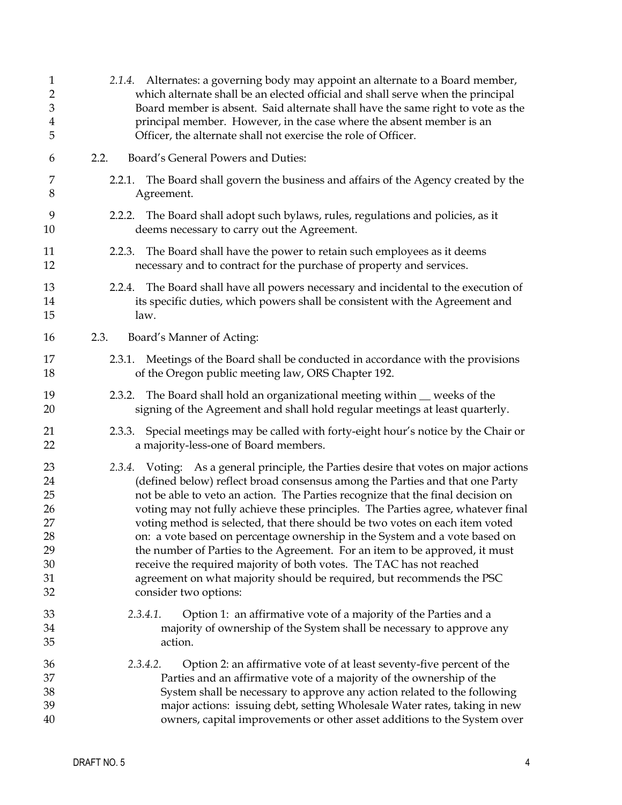| $\mathbf{1}$<br>$\overline{2}$<br>$\mathfrak{B}$<br>$\overline{\mathbf{4}}$<br>5 | 2.1.4. Alternates: a governing body may appoint an alternate to a Board member,<br>which alternate shall be an elected official and shall serve when the principal<br>Board member is absent. Said alternate shall have the same right to vote as the<br>principal member. However, in the case where the absent member is an<br>Officer, the alternate shall not exercise the role of Officer.                                                                                                                                                                                                                                                                                                                                                                     |
|----------------------------------------------------------------------------------|---------------------------------------------------------------------------------------------------------------------------------------------------------------------------------------------------------------------------------------------------------------------------------------------------------------------------------------------------------------------------------------------------------------------------------------------------------------------------------------------------------------------------------------------------------------------------------------------------------------------------------------------------------------------------------------------------------------------------------------------------------------------|
| 6                                                                                | 2.2.<br>Board's General Powers and Duties:                                                                                                                                                                                                                                                                                                                                                                                                                                                                                                                                                                                                                                                                                                                          |
| 7<br>8                                                                           | The Board shall govern the business and affairs of the Agency created by the<br>2.2.1.<br>Agreement.                                                                                                                                                                                                                                                                                                                                                                                                                                                                                                                                                                                                                                                                |
| 9<br>10                                                                          | 2.2.2. The Board shall adopt such bylaws, rules, regulations and policies, as it<br>deems necessary to carry out the Agreement.                                                                                                                                                                                                                                                                                                                                                                                                                                                                                                                                                                                                                                     |
| 11<br>12                                                                         | 2.2.3. The Board shall have the power to retain such employees as it deems<br>necessary and to contract for the purchase of property and services.                                                                                                                                                                                                                                                                                                                                                                                                                                                                                                                                                                                                                  |
| 13<br>14<br>15                                                                   | The Board shall have all powers necessary and incidental to the execution of<br>2.2.4.<br>its specific duties, which powers shall be consistent with the Agreement and<br>law.                                                                                                                                                                                                                                                                                                                                                                                                                                                                                                                                                                                      |
| 16                                                                               | Board's Manner of Acting:<br>2.3.                                                                                                                                                                                                                                                                                                                                                                                                                                                                                                                                                                                                                                                                                                                                   |
| 17<br>18                                                                         | 2.3.1. Meetings of the Board shall be conducted in accordance with the provisions<br>of the Oregon public meeting law, ORS Chapter 192.                                                                                                                                                                                                                                                                                                                                                                                                                                                                                                                                                                                                                             |
| 19<br>20                                                                         | The Board shall hold an organizational meeting within _ weeks of the<br>2.3.2.<br>signing of the Agreement and shall hold regular meetings at least quarterly.                                                                                                                                                                                                                                                                                                                                                                                                                                                                                                                                                                                                      |
| 21<br>22                                                                         | Special meetings may be called with forty-eight hour's notice by the Chair or<br>2.3.3.<br>a majority-less-one of Board members.                                                                                                                                                                                                                                                                                                                                                                                                                                                                                                                                                                                                                                    |
| 23<br>24<br>25<br>26<br>27<br>28<br>29<br>30<br>31<br>32                         | 2.3.4. Voting: As a general principle, the Parties desire that votes on major actions<br>(defined below) reflect broad consensus among the Parties and that one Party<br>not be able to veto an action. The Parties recognize that the final decision on<br>voting may not fully achieve these principles. The Parties agree, whatever final<br>voting method is selected, that there should be two votes on each item voted<br>on: a vote based on percentage ownership in the System and a vote based on<br>the number of Parties to the Agreement. For an item to be approved, it must<br>receive the required majority of both votes. The TAC has not reached<br>agreement on what majority should be required, but recommends the PSC<br>consider two options: |
| 33<br>34<br>35                                                                   | Option 1: an affirmative vote of a majority of the Parties and a<br>2.3.4.1.<br>majority of ownership of the System shall be necessary to approve any<br>action.                                                                                                                                                                                                                                                                                                                                                                                                                                                                                                                                                                                                    |
| 36<br>37<br>38<br>39<br>40                                                       | 2.3.4.2.<br>Option 2: an affirmative vote of at least seventy-five percent of the<br>Parties and an affirmative vote of a majority of the ownership of the<br>System shall be necessary to approve any action related to the following<br>major actions: issuing debt, setting Wholesale Water rates, taking in new<br>owners, capital improvements or other asset additions to the System over                                                                                                                                                                                                                                                                                                                                                                     |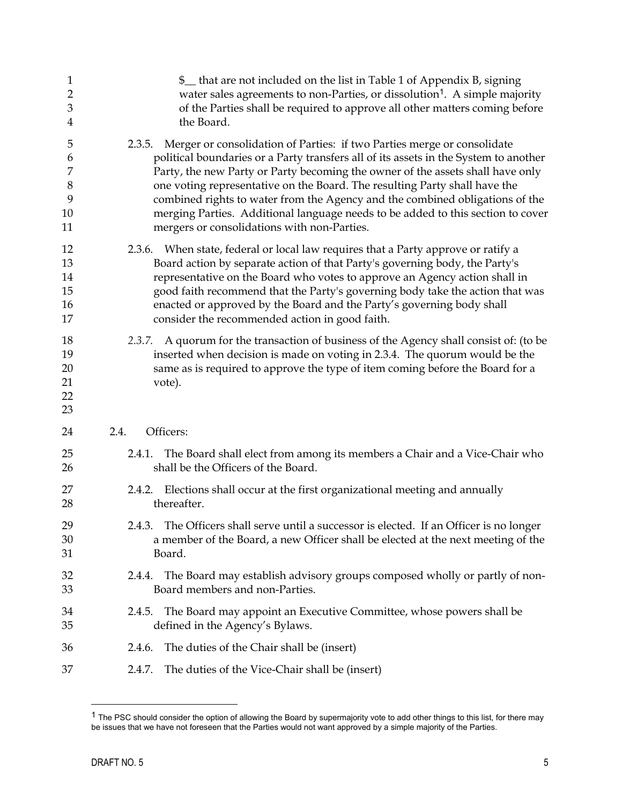| $\mathbf{1}$<br>$\overline{2}$<br>3<br>4 | \$ _ that are not included on the list in Table 1 of Appendix B, signing<br>water sales agreements to non-Parties, or dissolution <sup>1</sup> . A simple majority<br>of the Parties shall be required to approve all other matters coming before<br>the Board.                                                                                                                                                                                                                                                                                             |
|------------------------------------------|-------------------------------------------------------------------------------------------------------------------------------------------------------------------------------------------------------------------------------------------------------------------------------------------------------------------------------------------------------------------------------------------------------------------------------------------------------------------------------------------------------------------------------------------------------------|
| 5<br>6<br>7<br>8<br>9<br>10<br>11        | Merger or consolidation of Parties: if two Parties merge or consolidate<br>2.3.5.<br>political boundaries or a Party transfers all of its assets in the System to another<br>Party, the new Party or Party becoming the owner of the assets shall have only<br>one voting representative on the Board. The resulting Party shall have the<br>combined rights to water from the Agency and the combined obligations of the<br>merging Parties. Additional language needs to be added to this section to cover<br>mergers or consolidations with non-Parties. |
| 12<br>13<br>14<br>15<br>16<br>17         | 2.3.6. When state, federal or local law requires that a Party approve or ratify a<br>Board action by separate action of that Party's governing body, the Party's<br>representative on the Board who votes to approve an Agency action shall in<br>good faith recommend that the Party's governing body take the action that was<br>enacted or approved by the Board and the Party's governing body shall<br>consider the recommended action in good faith.                                                                                                  |
| 18<br>19<br>20<br>21<br>22<br>23         | 2.3.7. A quorum for the transaction of business of the Agency shall consist of: (to be<br>inserted when decision is made on voting in 2.3.4. The quorum would be the<br>same as is required to approve the type of item coming before the Board for a<br>vote).                                                                                                                                                                                                                                                                                             |
| 24                                       | Officers:<br>2.4.                                                                                                                                                                                                                                                                                                                                                                                                                                                                                                                                           |
| 25<br>26                                 | The Board shall elect from among its members a Chair and a Vice-Chair who<br>2.4.1.<br>shall be the Officers of the Board.                                                                                                                                                                                                                                                                                                                                                                                                                                  |
| 27<br>28                                 | 2.4.2. Elections shall occur at the first organizational meeting and annually<br>thereafter.                                                                                                                                                                                                                                                                                                                                                                                                                                                                |
| 29<br>30<br>31                           | 2.4.3. The Officers shall serve until a successor is elected. If an Officer is no longer<br>a member of the Board, a new Officer shall be elected at the next meeting of the<br>Board.                                                                                                                                                                                                                                                                                                                                                                      |
| 32<br>33                                 | The Board may establish advisory groups composed wholly or partly of non-<br>2.4.4.<br>Board members and non-Parties.                                                                                                                                                                                                                                                                                                                                                                                                                                       |
| 34<br>35                                 | The Board may appoint an Executive Committee, whose powers shall be<br>2.4.5.<br>defined in the Agency's Bylaws.                                                                                                                                                                                                                                                                                                                                                                                                                                            |
| 36                                       | The duties of the Chair shall be (insert)<br>2.4.6.                                                                                                                                                                                                                                                                                                                                                                                                                                                                                                         |
| 37                                       | The duties of the Vice-Chair shall be (insert)<br>2.4.7.                                                                                                                                                                                                                                                                                                                                                                                                                                                                                                    |

<span id="page-5-0"></span> $1$  The PSC should consider the option of allowing the Board by supermajority vote to add other things to this list, for there may be issues that we have not foreseen that the Parties would not want approved by a simple majority of the Parties.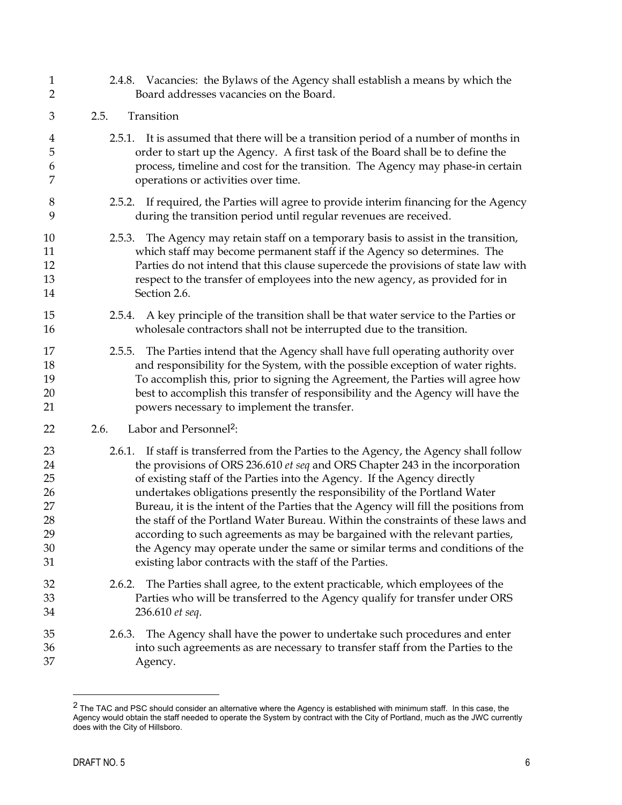| $\mathbf{1}$                                       | 2.4.8. Vacancies: the Bylaws of the Agency shall establish a means by which the                                                                                                                                                                                                                                                                                                                                                                                                                                                                                                                                                                                                                                                           |
|----------------------------------------------------|-------------------------------------------------------------------------------------------------------------------------------------------------------------------------------------------------------------------------------------------------------------------------------------------------------------------------------------------------------------------------------------------------------------------------------------------------------------------------------------------------------------------------------------------------------------------------------------------------------------------------------------------------------------------------------------------------------------------------------------------|
| $\overline{2}$                                     | Board addresses vacancies on the Board.                                                                                                                                                                                                                                                                                                                                                                                                                                                                                                                                                                                                                                                                                                   |
| 3                                                  | 2.5.<br>Transition                                                                                                                                                                                                                                                                                                                                                                                                                                                                                                                                                                                                                                                                                                                        |
| 4                                                  | 2.5.1. It is assumed that there will be a transition period of a number of months in                                                                                                                                                                                                                                                                                                                                                                                                                                                                                                                                                                                                                                                      |
| 5                                                  | order to start up the Agency. A first task of the Board shall be to define the                                                                                                                                                                                                                                                                                                                                                                                                                                                                                                                                                                                                                                                            |
| 6                                                  | process, timeline and cost for the transition. The Agency may phase-in certain                                                                                                                                                                                                                                                                                                                                                                                                                                                                                                                                                                                                                                                            |
| 7                                                  | operations or activities over time.                                                                                                                                                                                                                                                                                                                                                                                                                                                                                                                                                                                                                                                                                                       |
| 8                                                  | 2.5.2. If required, the Parties will agree to provide interim financing for the Agency                                                                                                                                                                                                                                                                                                                                                                                                                                                                                                                                                                                                                                                    |
| 9                                                  | during the transition period until regular revenues are received.                                                                                                                                                                                                                                                                                                                                                                                                                                                                                                                                                                                                                                                                         |
| 10                                                 | 2.5.3. The Agency may retain staff on a temporary basis to assist in the transition,                                                                                                                                                                                                                                                                                                                                                                                                                                                                                                                                                                                                                                                      |
| 11                                                 | which staff may become permanent staff if the Agency so determines. The                                                                                                                                                                                                                                                                                                                                                                                                                                                                                                                                                                                                                                                                   |
| 12                                                 | Parties do not intend that this clause supercede the provisions of state law with                                                                                                                                                                                                                                                                                                                                                                                                                                                                                                                                                                                                                                                         |
| 13                                                 | respect to the transfer of employees into the new agency, as provided for in                                                                                                                                                                                                                                                                                                                                                                                                                                                                                                                                                                                                                                                              |
| 14                                                 | Section 2.6.                                                                                                                                                                                                                                                                                                                                                                                                                                                                                                                                                                                                                                                                                                                              |
| 15                                                 | 2.5.4. A key principle of the transition shall be that water service to the Parties or                                                                                                                                                                                                                                                                                                                                                                                                                                                                                                                                                                                                                                                    |
| 16                                                 | wholesale contractors shall not be interrupted due to the transition.                                                                                                                                                                                                                                                                                                                                                                                                                                                                                                                                                                                                                                                                     |
| 17<br>18<br>19<br>20<br>21                         | The Parties intend that the Agency shall have full operating authority over<br>2.5.5.<br>and responsibility for the System, with the possible exception of water rights.<br>To accomplish this, prior to signing the Agreement, the Parties will agree how<br>best to accomplish this transfer of responsibility and the Agency will have the<br>powers necessary to implement the transfer.                                                                                                                                                                                                                                                                                                                                              |
| 22                                                 | 2.6.<br>Labor and Personnel <sup>2</sup> :                                                                                                                                                                                                                                                                                                                                                                                                                                                                                                                                                                                                                                                                                                |
| 23<br>24<br>25<br>26<br>27<br>28<br>29<br>30<br>31 | If staff is transferred from the Parties to the Agency, the Agency shall follow<br>2.6.1.<br>the provisions of ORS 236.610 et seq and ORS Chapter 243 in the incorporation<br>of existing staff of the Parties into the Agency. If the Agency directly<br>undertakes obligations presently the responsibility of the Portland Water<br>Bureau, it is the intent of the Parties that the Agency will fill the positions from<br>the staff of the Portland Water Bureau. Within the constraints of these laws and<br>according to such agreements as may be bargained with the relevant parties,<br>the Agency may operate under the same or similar terms and conditions of the<br>existing labor contracts with the staff of the Parties. |
| 32                                                 | 2.6.2. The Parties shall agree, to the extent practicable, which employees of the                                                                                                                                                                                                                                                                                                                                                                                                                                                                                                                                                                                                                                                         |
| 33                                                 | Parties who will be transferred to the Agency qualify for transfer under ORS                                                                                                                                                                                                                                                                                                                                                                                                                                                                                                                                                                                                                                                              |
| 34                                                 | 236.610 et seq.                                                                                                                                                                                                                                                                                                                                                                                                                                                                                                                                                                                                                                                                                                                           |
| 35<br>36<br>37                                     | The Agency shall have the power to undertake such procedures and enter<br>2.6.3.<br>into such agreements as are necessary to transfer staff from the Parties to the<br>Agency.                                                                                                                                                                                                                                                                                                                                                                                                                                                                                                                                                            |

<span id="page-6-0"></span> $2$  The TAC and PSC should consider an alternative where the Agency is established with minimum staff. In this case, the Agency would obtain the staff needed to operate the System by contract with the City of Portland, much as the JWC currently does with the City of Hillsboro.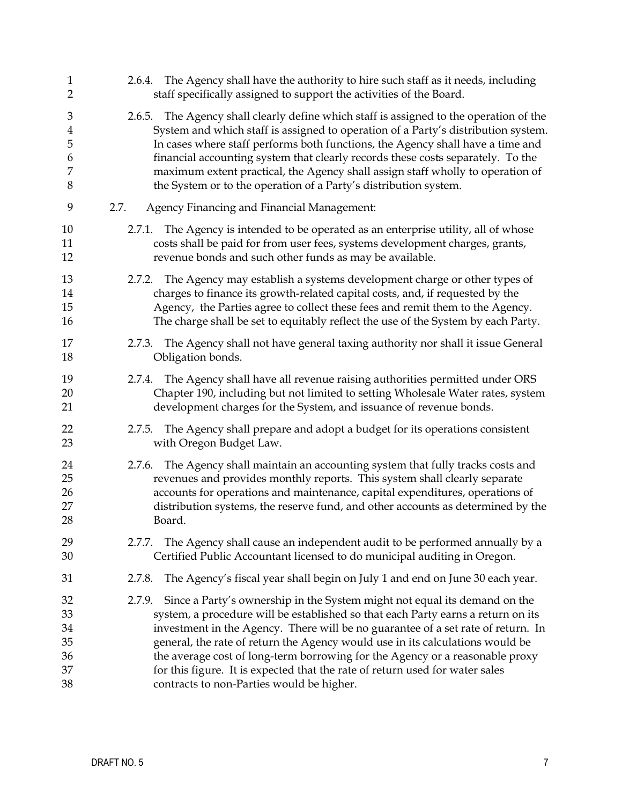| $\mathbf{1}$                                     | 2.6.4. The Agency shall have the authority to hire such staff as it needs, including                                                                                                                                                                                                                                                                                                                                                                                                                                                                      |
|--------------------------------------------------|-----------------------------------------------------------------------------------------------------------------------------------------------------------------------------------------------------------------------------------------------------------------------------------------------------------------------------------------------------------------------------------------------------------------------------------------------------------------------------------------------------------------------------------------------------------|
| $\overline{2}$                                   | staff specifically assigned to support the activities of the Board.                                                                                                                                                                                                                                                                                                                                                                                                                                                                                       |
| 3<br>$\overline{\mathbf{4}}$<br>5<br>6<br>7<br>8 | The Agency shall clearly define which staff is assigned to the operation of the<br>2.6.5.<br>System and which staff is assigned to operation of a Party's distribution system.<br>In cases where staff performs both functions, the Agency shall have a time and<br>financial accounting system that clearly records these costs separately. To the<br>maximum extent practical, the Agency shall assign staff wholly to operation of<br>the System or to the operation of a Party's distribution system.                                                 |
| 9                                                | Agency Financing and Financial Management:<br>2.7.                                                                                                                                                                                                                                                                                                                                                                                                                                                                                                        |
| 10                                               | 2.7.1. The Agency is intended to be operated as an enterprise utility, all of whose                                                                                                                                                                                                                                                                                                                                                                                                                                                                       |
| 11                                               | costs shall be paid for from user fees, systems development charges, grants,                                                                                                                                                                                                                                                                                                                                                                                                                                                                              |
| 12                                               | revenue bonds and such other funds as may be available.                                                                                                                                                                                                                                                                                                                                                                                                                                                                                                   |
| 13                                               | 2.7.2. The Agency may establish a systems development charge or other types of                                                                                                                                                                                                                                                                                                                                                                                                                                                                            |
| 14                                               | charges to finance its growth-related capital costs, and, if requested by the                                                                                                                                                                                                                                                                                                                                                                                                                                                                             |
| 15                                               | Agency, the Parties agree to collect these fees and remit them to the Agency.                                                                                                                                                                                                                                                                                                                                                                                                                                                                             |
| 16                                               | The charge shall be set to equitably reflect the use of the System by each Party.                                                                                                                                                                                                                                                                                                                                                                                                                                                                         |
| 17                                               | 2.7.3. The Agency shall not have general taxing authority nor shall it issue General                                                                                                                                                                                                                                                                                                                                                                                                                                                                      |
| 18                                               | Obligation bonds.                                                                                                                                                                                                                                                                                                                                                                                                                                                                                                                                         |
| 19                                               | 2.7.4. The Agency shall have all revenue raising authorities permitted under ORS                                                                                                                                                                                                                                                                                                                                                                                                                                                                          |
| 20                                               | Chapter 190, including but not limited to setting Wholesale Water rates, system                                                                                                                                                                                                                                                                                                                                                                                                                                                                           |
| 21                                               | development charges for the System, and issuance of revenue bonds.                                                                                                                                                                                                                                                                                                                                                                                                                                                                                        |
| 22                                               | 2.7.5. The Agency shall prepare and adopt a budget for its operations consistent                                                                                                                                                                                                                                                                                                                                                                                                                                                                          |
| 23                                               | with Oregon Budget Law.                                                                                                                                                                                                                                                                                                                                                                                                                                                                                                                                   |
| 24                                               | 2.7.6. The Agency shall maintain an accounting system that fully tracks costs and                                                                                                                                                                                                                                                                                                                                                                                                                                                                         |
| 25                                               | revenues and provides monthly reports. This system shall clearly separate                                                                                                                                                                                                                                                                                                                                                                                                                                                                                 |
| 26                                               | accounts for operations and maintenance, capital expenditures, operations of                                                                                                                                                                                                                                                                                                                                                                                                                                                                              |
| 27                                               | distribution systems, the reserve fund, and other accounts as determined by the                                                                                                                                                                                                                                                                                                                                                                                                                                                                           |
| 28                                               | Board.                                                                                                                                                                                                                                                                                                                                                                                                                                                                                                                                                    |
| 29                                               | 2.7.7. The Agency shall cause an independent audit to be performed annually by a                                                                                                                                                                                                                                                                                                                                                                                                                                                                          |
| 30                                               | Certified Public Accountant licensed to do municipal auditing in Oregon.                                                                                                                                                                                                                                                                                                                                                                                                                                                                                  |
| 31                                               | The Agency's fiscal year shall begin on July 1 and end on June 30 each year.<br>2.7.8.                                                                                                                                                                                                                                                                                                                                                                                                                                                                    |
| 32<br>33<br>34<br>35<br>36<br>37<br>38           | Since a Party's ownership in the System might not equal its demand on the<br>2.7.9.<br>system, a procedure will be established so that each Party earns a return on its<br>investment in the Agency. There will be no guarantee of a set rate of return. In<br>general, the rate of return the Agency would use in its calculations would be<br>the average cost of long-term borrowing for the Agency or a reasonable proxy<br>for this figure. It is expected that the rate of return used for water sales<br>contracts to non-Parties would be higher. |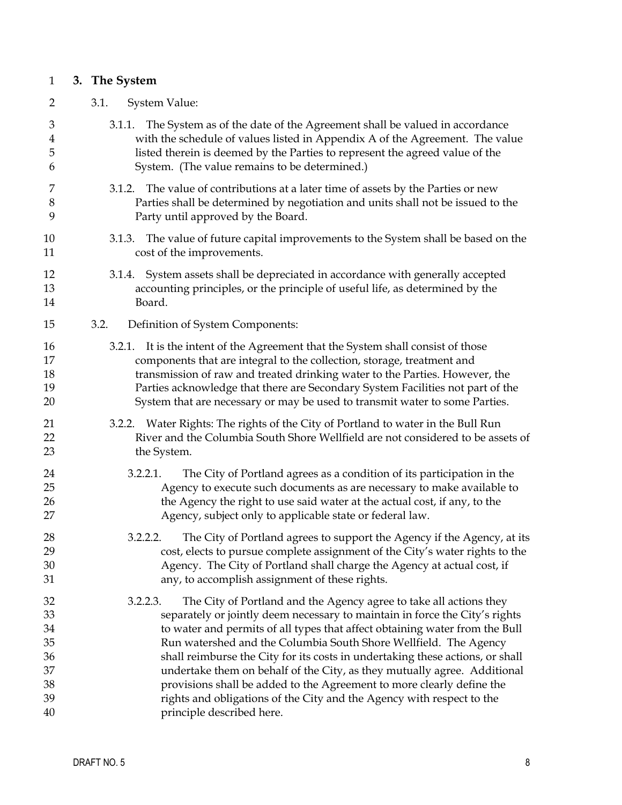# <span id="page-8-0"></span>1 **3. The System**

2

# 3.1. System Value:

| 3                                      | 3.1.1. The System as of the date of the Agreement shall be valued in accordance                                                                                                                                                                                                                                                                                                                                                                                                                                                                        |
|----------------------------------------|--------------------------------------------------------------------------------------------------------------------------------------------------------------------------------------------------------------------------------------------------------------------------------------------------------------------------------------------------------------------------------------------------------------------------------------------------------------------------------------------------------------------------------------------------------|
| $\overline{4}$                         | with the schedule of values listed in Appendix A of the Agreement. The value                                                                                                                                                                                                                                                                                                                                                                                                                                                                           |
| 5                                      | listed therein is deemed by the Parties to represent the agreed value of the                                                                                                                                                                                                                                                                                                                                                                                                                                                                           |
| 6                                      | System. (The value remains to be determined.)                                                                                                                                                                                                                                                                                                                                                                                                                                                                                                          |
| 7                                      | 3.1.2. The value of contributions at a later time of assets by the Parties or new                                                                                                                                                                                                                                                                                                                                                                                                                                                                      |
| 8                                      | Parties shall be determined by negotiation and units shall not be issued to the                                                                                                                                                                                                                                                                                                                                                                                                                                                                        |
| 9                                      | Party until approved by the Board.                                                                                                                                                                                                                                                                                                                                                                                                                                                                                                                     |
| 10                                     | 3.1.3. The value of future capital improvements to the System shall be based on the                                                                                                                                                                                                                                                                                                                                                                                                                                                                    |
| 11                                     | cost of the improvements.                                                                                                                                                                                                                                                                                                                                                                                                                                                                                                                              |
| 12                                     | 3.1.4. System assets shall be depreciated in accordance with generally accepted                                                                                                                                                                                                                                                                                                                                                                                                                                                                        |
| 13                                     | accounting principles, or the principle of useful life, as determined by the                                                                                                                                                                                                                                                                                                                                                                                                                                                                           |
| 14                                     | Board.                                                                                                                                                                                                                                                                                                                                                                                                                                                                                                                                                 |
| 15                                     | 3.2.<br>Definition of System Components:                                                                                                                                                                                                                                                                                                                                                                                                                                                                                                               |
| 16                                     | 3.2.1. It is the intent of the Agreement that the System shall consist of those                                                                                                                                                                                                                                                                                                                                                                                                                                                                        |
| 17                                     | components that are integral to the collection, storage, treatment and                                                                                                                                                                                                                                                                                                                                                                                                                                                                                 |
| 18                                     | transmission of raw and treated drinking water to the Parties. However, the                                                                                                                                                                                                                                                                                                                                                                                                                                                                            |
| 19                                     | Parties acknowledge that there are Secondary System Facilities not part of the                                                                                                                                                                                                                                                                                                                                                                                                                                                                         |
| 20                                     | System that are necessary or may be used to transmit water to some Parties.                                                                                                                                                                                                                                                                                                                                                                                                                                                                            |
| 21                                     | 3.2.2. Water Rights: The rights of the City of Portland to water in the Bull Run                                                                                                                                                                                                                                                                                                                                                                                                                                                                       |
| 22                                     | River and the Columbia South Shore Wellfield are not considered to be assets of                                                                                                                                                                                                                                                                                                                                                                                                                                                                        |
| 23                                     | the System.                                                                                                                                                                                                                                                                                                                                                                                                                                                                                                                                            |
| 24<br>25<br>26<br>27                   | The City of Portland agrees as a condition of its participation in the<br>3.2.2.1.<br>Agency to execute such documents as are necessary to make available to<br>the Agency the right to use said water at the actual cost, if any, to the<br>Agency, subject only to applicable state or federal law.                                                                                                                                                                                                                                                  |
| 28<br>29<br>30<br>31                   | The City of Portland agrees to support the Agency if the Agency, at its<br>3.2.2.2.<br>cost, elects to pursue complete assignment of the City's water rights to the<br>Agency. The City of Portland shall charge the Agency at actual cost, if<br>any, to accomplish assignment of these rights.                                                                                                                                                                                                                                                       |
| 32<br>33<br>34<br>35<br>36<br>37<br>38 | The City of Portland and the Agency agree to take all actions they<br>3.2.2.3.<br>separately or jointly deem necessary to maintain in force the City's rights<br>to water and permits of all types that affect obtaining water from the Bull<br>Run watershed and the Columbia South Shore Wellfield. The Agency<br>shall reimburse the City for its costs in undertaking these actions, or shall<br>undertake them on behalf of the City, as they mutually agree. Additional<br>provisions shall be added to the Agreement to more clearly define the |
| 39                                     | rights and obligations of the City and the Agency with respect to the                                                                                                                                                                                                                                                                                                                                                                                                                                                                                  |
| 40                                     | principle described here.                                                                                                                                                                                                                                                                                                                                                                                                                                                                                                                              |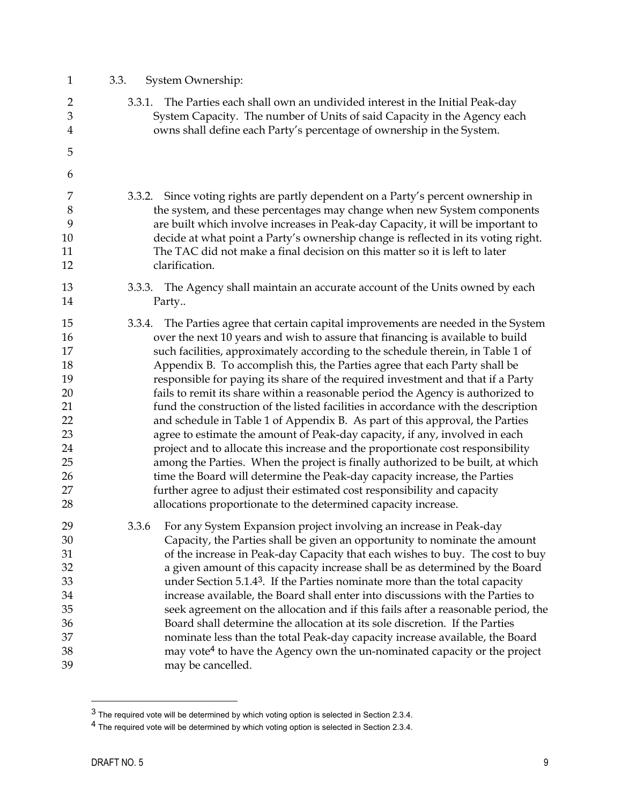| $\mathbf{1}$                                                                     | 3.3.<br>System Ownership:                                                                                                                                                                                                                                                                                                                                                                                                                                                                                                                                                                                                                                                                                                                                                                                                                                                                                                                                                                                                                                                                                                                                            |
|----------------------------------------------------------------------------------|----------------------------------------------------------------------------------------------------------------------------------------------------------------------------------------------------------------------------------------------------------------------------------------------------------------------------------------------------------------------------------------------------------------------------------------------------------------------------------------------------------------------------------------------------------------------------------------------------------------------------------------------------------------------------------------------------------------------------------------------------------------------------------------------------------------------------------------------------------------------------------------------------------------------------------------------------------------------------------------------------------------------------------------------------------------------------------------------------------------------------------------------------------------------|
| 2<br>$\mathfrak{B}$<br>$\overline{4}$                                            | The Parties each shall own an undivided interest in the Initial Peak-day<br>3.3.1.<br>System Capacity. The number of Units of said Capacity in the Agency each<br>owns shall define each Party's percentage of ownership in the System.                                                                                                                                                                                                                                                                                                                                                                                                                                                                                                                                                                                                                                                                                                                                                                                                                                                                                                                              |
| 5                                                                                |                                                                                                                                                                                                                                                                                                                                                                                                                                                                                                                                                                                                                                                                                                                                                                                                                                                                                                                                                                                                                                                                                                                                                                      |
| 6                                                                                |                                                                                                                                                                                                                                                                                                                                                                                                                                                                                                                                                                                                                                                                                                                                                                                                                                                                                                                                                                                                                                                                                                                                                                      |
| 7<br>8<br>9<br>10<br>11<br>12                                                    | Since voting rights are partly dependent on a Party's percent ownership in<br>3.3.2.<br>the system, and these percentages may change when new System components<br>are built which involve increases in Peak-day Capacity, it will be important to<br>decide at what point a Party's ownership change is reflected in its voting right.<br>The TAC did not make a final decision on this matter so it is left to later<br>clarification.                                                                                                                                                                                                                                                                                                                                                                                                                                                                                                                                                                                                                                                                                                                             |
| 13<br>14                                                                         | 3.3.3. The Agency shall maintain an accurate account of the Units owned by each<br>Party                                                                                                                                                                                                                                                                                                                                                                                                                                                                                                                                                                                                                                                                                                                                                                                                                                                                                                                                                                                                                                                                             |
| 15<br>16<br>17<br>18<br>19<br>20<br>21<br>22<br>23<br>24<br>25<br>26<br>27<br>28 | The Parties agree that certain capital improvements are needed in the System<br>3.3.4.<br>over the next 10 years and wish to assure that financing is available to build<br>such facilities, approximately according to the schedule therein, in Table 1 of<br>Appendix B. To accomplish this, the Parties agree that each Party shall be<br>responsible for paying its share of the required investment and that if a Party<br>fails to remit its share within a reasonable period the Agency is authorized to<br>fund the construction of the listed facilities in accordance with the description<br>and schedule in Table 1 of Appendix B. As part of this approval, the Parties<br>agree to estimate the amount of Peak-day capacity, if any, involved in each<br>project and to allocate this increase and the proportionate cost responsibility<br>among the Parties. When the project is finally authorized to be built, at which<br>time the Board will determine the Peak-day capacity increase, the Parties<br>further agree to adjust their estimated cost responsibility and capacity<br>allocations proportionate to the determined capacity increase. |
| 29<br>30<br>31<br>32<br>33<br>34<br>35<br>36<br>37<br>38<br>39                   | For any System Expansion project involving an increase in Peak-day<br>3.3.6<br>Capacity, the Parties shall be given an opportunity to nominate the amount<br>of the increase in Peak-day Capacity that each wishes to buy. The cost to buy<br>a given amount of this capacity increase shall be as determined by the Board<br>under Section 5.1.43. If the Parties nominate more than the total capacity<br>increase available, the Board shall enter into discussions with the Parties to<br>seek agreement on the allocation and if this fails after a reasonable period, the<br>Board shall determine the allocation at its sole discretion. If the Parties<br>nominate less than the total Peak-day capacity increase available, the Board<br>may vote <sup>4</sup> to have the Agency own the un-nominated capacity or the project<br>may be cancelled.                                                                                                                                                                                                                                                                                                         |

<span id="page-9-0"></span> $3$  The required vote will be determined by which voting option is selected in Section 2.3.4.

<span id="page-9-1"></span><sup>4</sup> The required vote will be determined by which voting option is selected in Section 2.3.4.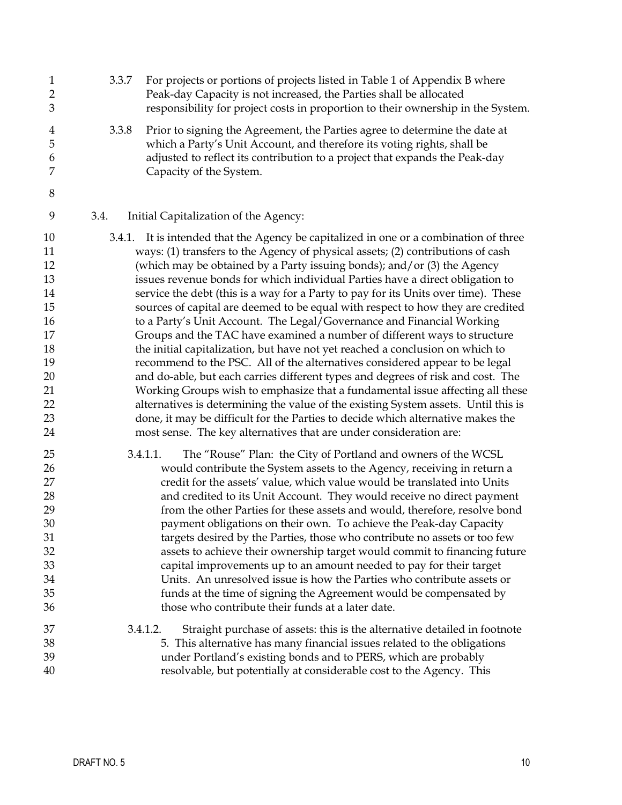| $\mathbf{1}$<br>$\overline{2}$<br>3                                        | 3.3.7  | For projects or portions of projects listed in Table 1 of Appendix B where<br>Peak-day Capacity is not increased, the Parties shall be allocated<br>responsibility for project costs in proportion to their ownership in the System.                                                                                                                                                                                                                                                                                                                                                                                                                                                                                                                                                                                                                                                                                                                                                                                                                                                  |
|----------------------------------------------------------------------------|--------|---------------------------------------------------------------------------------------------------------------------------------------------------------------------------------------------------------------------------------------------------------------------------------------------------------------------------------------------------------------------------------------------------------------------------------------------------------------------------------------------------------------------------------------------------------------------------------------------------------------------------------------------------------------------------------------------------------------------------------------------------------------------------------------------------------------------------------------------------------------------------------------------------------------------------------------------------------------------------------------------------------------------------------------------------------------------------------------|
| 4<br>5<br>6<br>7                                                           | 3.3.8  | Prior to signing the Agreement, the Parties agree to determine the date at<br>which a Party's Unit Account, and therefore its voting rights, shall be<br>adjusted to reflect its contribution to a project that expands the Peak-day<br>Capacity of the System.                                                                                                                                                                                                                                                                                                                                                                                                                                                                                                                                                                                                                                                                                                                                                                                                                       |
| $\,8\,$                                                                    |        |                                                                                                                                                                                                                                                                                                                                                                                                                                                                                                                                                                                                                                                                                                                                                                                                                                                                                                                                                                                                                                                                                       |
| 9                                                                          | 3.4.   | Initial Capitalization of the Agency:                                                                                                                                                                                                                                                                                                                                                                                                                                                                                                                                                                                                                                                                                                                                                                                                                                                                                                                                                                                                                                                 |
| 10<br>11<br>12<br>13<br>14<br>15<br>16<br>17<br>18<br>19<br>20<br>21<br>22 | 3.4.1. | It is intended that the Agency be capitalized in one or a combination of three<br>ways: (1) transfers to the Agency of physical assets; (2) contributions of cash<br>(which may be obtained by a Party issuing bonds); and/or (3) the Agency<br>issues revenue bonds for which individual Parties have a direct obligation to<br>service the debt (this is a way for a Party to pay for its Units over time). These<br>sources of capital are deemed to be equal with respect to how they are credited<br>to a Party's Unit Account. The Legal/Governance and Financial Working<br>Groups and the TAC have examined a number of different ways to structure<br>the initial capitalization, but have not yet reached a conclusion on which to<br>recommend to the PSC. All of the alternatives considered appear to be legal<br>and do-able, but each carries different types and degrees of risk and cost. The<br>Working Groups wish to emphasize that a fundamental issue affecting all these<br>alternatives is determining the value of the existing System assets. Until this is |
| 23<br>24                                                                   |        | done, it may be difficult for the Parties to decide which alternative makes the<br>most sense. The key alternatives that are under consideration are:                                                                                                                                                                                                                                                                                                                                                                                                                                                                                                                                                                                                                                                                                                                                                                                                                                                                                                                                 |
| 25                                                                         |        | The "Rouse" Plan: the City of Portland and owners of the WCSL<br>3.4.1.1.                                                                                                                                                                                                                                                                                                                                                                                                                                                                                                                                                                                                                                                                                                                                                                                                                                                                                                                                                                                                             |
| 26                                                                         |        | would contribute the System assets to the Agency, receiving in return a                                                                                                                                                                                                                                                                                                                                                                                                                                                                                                                                                                                                                                                                                                                                                                                                                                                                                                                                                                                                               |
| 27<br>28                                                                   |        | credit for the assets' value, which value would be translated into Units<br>and credited to its Unit Account. They would receive no direct payment                                                                                                                                                                                                                                                                                                                                                                                                                                                                                                                                                                                                                                                                                                                                                                                                                                                                                                                                    |
| 29                                                                         |        | from the other Parties for these assets and would, therefore, resolve bond                                                                                                                                                                                                                                                                                                                                                                                                                                                                                                                                                                                                                                                                                                                                                                                                                                                                                                                                                                                                            |
| 30                                                                         |        | payment obligations on their own. To achieve the Peak-day Capacity                                                                                                                                                                                                                                                                                                                                                                                                                                                                                                                                                                                                                                                                                                                                                                                                                                                                                                                                                                                                                    |
| 31                                                                         |        | targets desired by the Parties, those who contribute no assets or too few                                                                                                                                                                                                                                                                                                                                                                                                                                                                                                                                                                                                                                                                                                                                                                                                                                                                                                                                                                                                             |
| 32                                                                         |        | assets to achieve their ownership target would commit to financing future                                                                                                                                                                                                                                                                                                                                                                                                                                                                                                                                                                                                                                                                                                                                                                                                                                                                                                                                                                                                             |
| 33                                                                         |        | capital improvements up to an amount needed to pay for their target                                                                                                                                                                                                                                                                                                                                                                                                                                                                                                                                                                                                                                                                                                                                                                                                                                                                                                                                                                                                                   |
| 34                                                                         |        | Units. An unresolved issue is how the Parties who contribute assets or                                                                                                                                                                                                                                                                                                                                                                                                                                                                                                                                                                                                                                                                                                                                                                                                                                                                                                                                                                                                                |
| 35                                                                         |        | funds at the time of signing the Agreement would be compensated by                                                                                                                                                                                                                                                                                                                                                                                                                                                                                                                                                                                                                                                                                                                                                                                                                                                                                                                                                                                                                    |
| 36                                                                         |        | those who contribute their funds at a later date.                                                                                                                                                                                                                                                                                                                                                                                                                                                                                                                                                                                                                                                                                                                                                                                                                                                                                                                                                                                                                                     |
| 37<br>38                                                                   |        | Straight purchase of assets: this is the alternative detailed in footnote<br>3.4.1.2.<br>5. This alternative has many financial issues related to the obligations                                                                                                                                                                                                                                                                                                                                                                                                                                                                                                                                                                                                                                                                                                                                                                                                                                                                                                                     |
| 39                                                                         |        | under Portland's existing bonds and to PERS, which are probably                                                                                                                                                                                                                                                                                                                                                                                                                                                                                                                                                                                                                                                                                                                                                                                                                                                                                                                                                                                                                       |
| 40                                                                         |        | resolvable, but potentially at considerable cost to the Agency. This                                                                                                                                                                                                                                                                                                                                                                                                                                                                                                                                                                                                                                                                                                                                                                                                                                                                                                                                                                                                                  |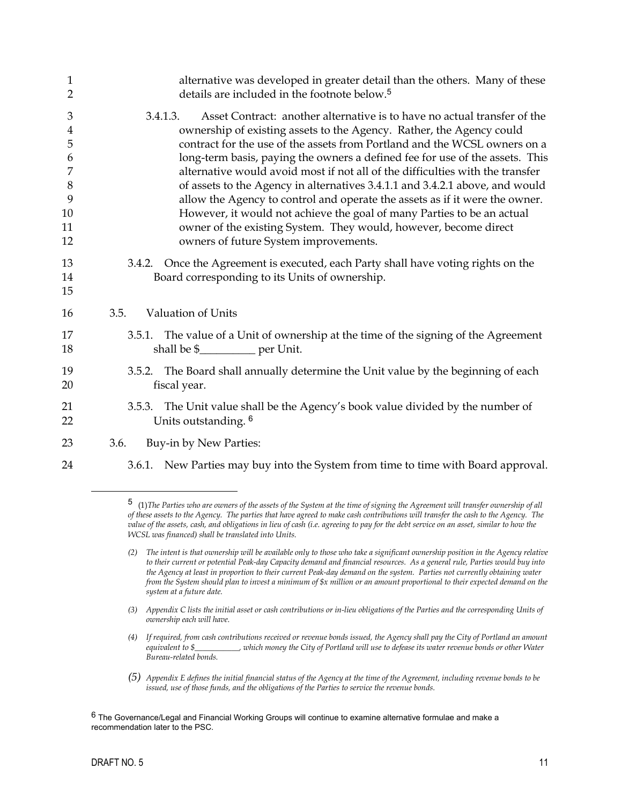| $\mathbf{1}$                                                                | alternative was developed in greater detail than the others. Many of these                                                                                                                                                                                                                                                                                                                                                                                                                                                                                                                                                                                                                                                                                       |
|-----------------------------------------------------------------------------|------------------------------------------------------------------------------------------------------------------------------------------------------------------------------------------------------------------------------------------------------------------------------------------------------------------------------------------------------------------------------------------------------------------------------------------------------------------------------------------------------------------------------------------------------------------------------------------------------------------------------------------------------------------------------------------------------------------------------------------------------------------|
| $\overline{2}$                                                              | details are included in the footnote below. <sup>5</sup>                                                                                                                                                                                                                                                                                                                                                                                                                                                                                                                                                                                                                                                                                                         |
| 3<br>$\overline{4}$<br>5<br>6<br>7<br>$8\phantom{1}$<br>9<br>10<br>11<br>12 | 3.4.1.3.<br>Asset Contract: another alternative is to have no actual transfer of the<br>ownership of existing assets to the Agency. Rather, the Agency could<br>contract for the use of the assets from Portland and the WCSL owners on a<br>long-term basis, paying the owners a defined fee for use of the assets. This<br>alternative would avoid most if not all of the difficulties with the transfer<br>of assets to the Agency in alternatives 3.4.1.1 and 3.4.2.1 above, and would<br>allow the Agency to control and operate the assets as if it were the owner.<br>However, it would not achieve the goal of many Parties to be an actual<br>owner of the existing System. They would, however, become direct<br>owners of future System improvements. |
| 13<br>14<br>15                                                              | 3.4.2. Once the Agreement is executed, each Party shall have voting rights on the<br>Board corresponding to its Units of ownership.                                                                                                                                                                                                                                                                                                                                                                                                                                                                                                                                                                                                                              |
| 16                                                                          | <b>Valuation of Units</b><br>3.5.                                                                                                                                                                                                                                                                                                                                                                                                                                                                                                                                                                                                                                                                                                                                |
| 17<br>18                                                                    | The value of a Unit of ownership at the time of the signing of the Agreement<br>3.5.1.<br>shall be \$____________ per Unit.                                                                                                                                                                                                                                                                                                                                                                                                                                                                                                                                                                                                                                      |
| 19<br>20                                                                    | 3.5.2. The Board shall annually determine the Unit value by the beginning of each<br>fiscal year.                                                                                                                                                                                                                                                                                                                                                                                                                                                                                                                                                                                                                                                                |
| 21<br>22                                                                    | 3.5.3. The Unit value shall be the Agency's book value divided by the number of<br>Units outstanding. <sup>6</sup>                                                                                                                                                                                                                                                                                                                                                                                                                                                                                                                                                                                                                                               |
| 23                                                                          | Buy-in by New Parties:<br>3.6.                                                                                                                                                                                                                                                                                                                                                                                                                                                                                                                                                                                                                                                                                                                                   |
| 24                                                                          | 3.6.1. New Parties may buy into the System from time to time with Board approval.                                                                                                                                                                                                                                                                                                                                                                                                                                                                                                                                                                                                                                                                                |

<span id="page-11-0"></span><sup>5</sup> (1)*The Parties who are owners of the assets of the System at the time of signing the Agreement will transfer ownership of all of these assets to the Agency. The parties that have agreed to make cash contributions will transfer the cash to the Agency. The value of the assets, cash, and obligations in lieu of cash (i.e. agreeing to pay for the debt service on an asset, similar to how the WCSL was financed) shall be translated into Units.* 

*<sup>(2)</sup> The intent is that ownership will be available only to those who take a significant ownership position in the Agency relative to their current or potential Peak-day Capacity demand and financial resources. As a general rule, Parties would buy into the Agency at least in proportion to their current Peak-day demand on the system. Parties not currently obtaining water from the System should plan to invest a minimum of \$x million or an amount proportional to their expected demand on the system at a future date.* 

*<sup>(3)</sup> Appendix C lists the initial asset or cash contributions or in-lieu obligations of the Parties and the corresponding Units of ownership each will have.* 

*<sup>(4)</sup> If required, from cash contributions received or revenue bonds issued, the Agency shall pay the City of Portland an amount equivalent to \$\_\_\_\_\_\_\_\_\_\_\_, which money the City of Portland will use to defease its water revenue bonds or other Water Bureau-related bonds.* 

*<sup>(5)</sup> Appendix E defines the initial financial status of the Agency at the time of the Agreement, including revenue bonds to be issued, use of those funds, and the obligations of the Parties to service the revenue bonds.*

<span id="page-11-1"></span><sup>6</sup> The Governance/Legal and Financial Working Groups will continue to examine alternative formulae and make a recommendation later to the PSC.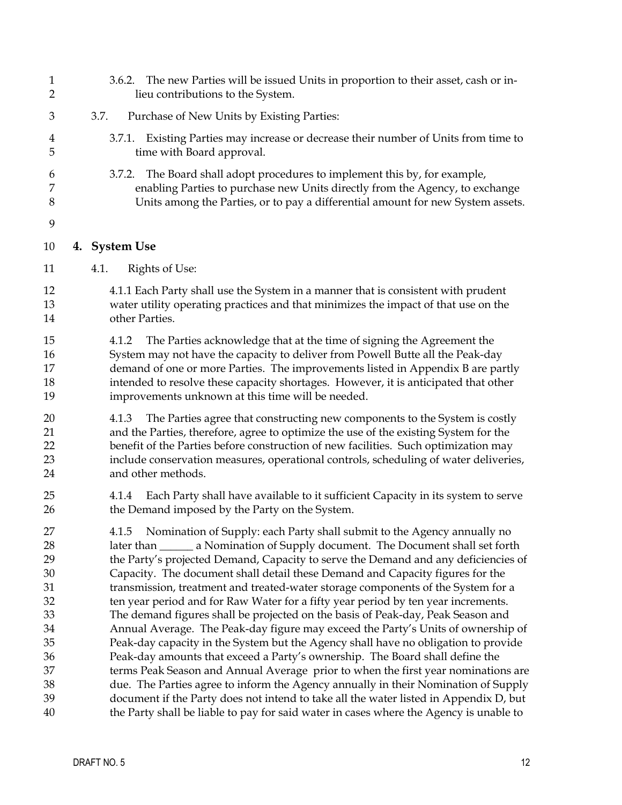<span id="page-12-0"></span>

| $\mathbf{1}$<br>$\overline{2}$                                           | 3.6.2. The new Parties will be issued Units in proportion to their asset, cash or in-<br>lieu contributions to the System.                                                                                                                                                                                                                                                                                                                                                                                                                                                                                                                                                                                                                                                                                                                                                                                                                                                                                                                |
|--------------------------------------------------------------------------|-------------------------------------------------------------------------------------------------------------------------------------------------------------------------------------------------------------------------------------------------------------------------------------------------------------------------------------------------------------------------------------------------------------------------------------------------------------------------------------------------------------------------------------------------------------------------------------------------------------------------------------------------------------------------------------------------------------------------------------------------------------------------------------------------------------------------------------------------------------------------------------------------------------------------------------------------------------------------------------------------------------------------------------------|
| 3                                                                        | 3.7.<br>Purchase of New Units by Existing Parties:                                                                                                                                                                                                                                                                                                                                                                                                                                                                                                                                                                                                                                                                                                                                                                                                                                                                                                                                                                                        |
| 4<br>5                                                                   | 3.7.1. Existing Parties may increase or decrease their number of Units from time to<br>time with Board approval.                                                                                                                                                                                                                                                                                                                                                                                                                                                                                                                                                                                                                                                                                                                                                                                                                                                                                                                          |
| 6<br>7<br>8                                                              | 3.7.2. The Board shall adopt procedures to implement this by, for example,<br>enabling Parties to purchase new Units directly from the Agency, to exchange<br>Units among the Parties, or to pay a differential amount for new System assets.                                                                                                                                                                                                                                                                                                                                                                                                                                                                                                                                                                                                                                                                                                                                                                                             |
| 9                                                                        |                                                                                                                                                                                                                                                                                                                                                                                                                                                                                                                                                                                                                                                                                                                                                                                                                                                                                                                                                                                                                                           |
| 10                                                                       | 4. System Use                                                                                                                                                                                                                                                                                                                                                                                                                                                                                                                                                                                                                                                                                                                                                                                                                                                                                                                                                                                                                             |
| 11                                                                       | Rights of Use:<br>4.1.                                                                                                                                                                                                                                                                                                                                                                                                                                                                                                                                                                                                                                                                                                                                                                                                                                                                                                                                                                                                                    |
| 12<br>13<br>14                                                           | 4.1.1 Each Party shall use the System in a manner that is consistent with prudent<br>water utility operating practices and that minimizes the impact of that use on the<br>other Parties.                                                                                                                                                                                                                                                                                                                                                                                                                                                                                                                                                                                                                                                                                                                                                                                                                                                 |
| 15<br>16<br>17<br>18<br>19                                               | The Parties acknowledge that at the time of signing the Agreement the<br>4.1.2<br>System may not have the capacity to deliver from Powell Butte all the Peak-day<br>demand of one or more Parties. The improvements listed in Appendix B are partly<br>intended to resolve these capacity shortages. However, it is anticipated that other<br>improvements unknown at this time will be needed.                                                                                                                                                                                                                                                                                                                                                                                                                                                                                                                                                                                                                                           |
| 20<br>21<br>22<br>23<br>24                                               | The Parties agree that constructing new components to the System is costly<br>4.1.3<br>and the Parties, therefore, agree to optimize the use of the existing System for the<br>benefit of the Parties before construction of new facilities. Such optimization may<br>include conservation measures, operational controls, scheduling of water deliveries,<br>and other methods.                                                                                                                                                                                                                                                                                                                                                                                                                                                                                                                                                                                                                                                          |
| 25<br>26                                                                 | Each Party shall have available to it sufficient Capacity in its system to serve<br>4.1.4<br>the Demand imposed by the Party on the System.                                                                                                                                                                                                                                                                                                                                                                                                                                                                                                                                                                                                                                                                                                                                                                                                                                                                                               |
| 27<br>28<br>29<br>$30\,$<br>31<br>32<br>33<br>34<br>35<br>36<br>37<br>38 | 4.1.5 Nomination of Supply: each Party shall submit to the Agency annually no<br>later than _______ a Nomination of Supply document. The Document shall set forth<br>the Party's projected Demand, Capacity to serve the Demand and any deficiencies of<br>Capacity. The document shall detail these Demand and Capacity figures for the<br>transmission, treatment and treated-water storage components of the System for a<br>ten year period and for Raw Water for a fifty year period by ten year increments.<br>The demand figures shall be projected on the basis of Peak-day, Peak Season and<br>Annual Average. The Peak-day figure may exceed the Party's Units of ownership of<br>Peak-day capacity in the System but the Agency shall have no obligation to provide<br>Peak-day amounts that exceed a Party's ownership. The Board shall define the<br>terms Peak Season and Annual Average prior to when the first year nominations are<br>due. The Parties agree to inform the Agency annually in their Nomination of Supply |
| 39<br>40                                                                 | document if the Party does not intend to take all the water listed in Appendix D, but<br>the Party shall be liable to pay for said water in cases where the Agency is unable to                                                                                                                                                                                                                                                                                                                                                                                                                                                                                                                                                                                                                                                                                                                                                                                                                                                           |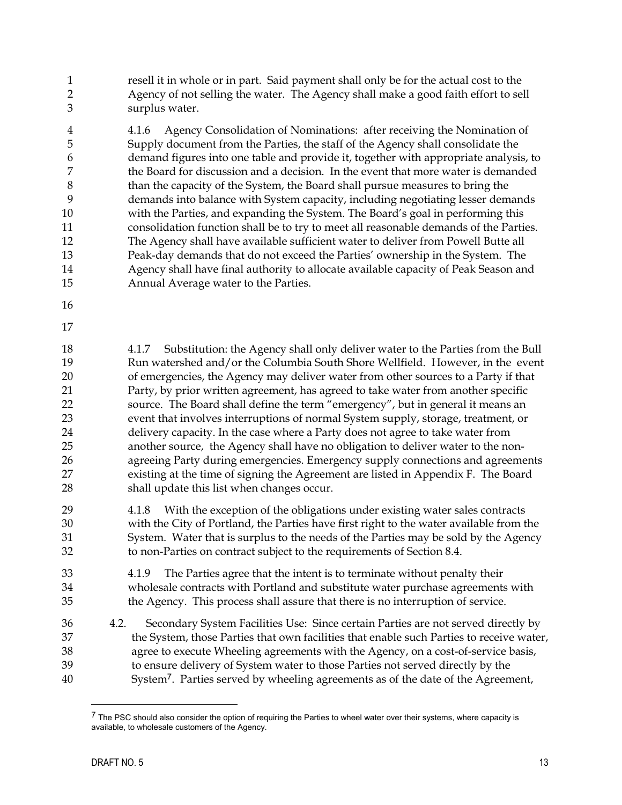resell it in whole or in part. Said payment shall only be for the actual cost to the Agency of not selling the water. The Agency shall make a good faith effort to sell surplus water. 1  $\mathcal{D}$ 3

4 5 6 7 8 9 10 11 12 13 14 15 4.1.6 Agency Consolidation of Nominations: after receiving the Nomination of Supply document from the Parties, the staff of the Agency shall consolidate the demand figures into one table and provide it, together with appropriate analysis, to the Board for discussion and a decision. In the event that more water is demanded than the capacity of the System, the Board shall pursue measures to bring the demands into balance with System capacity, including negotiating lesser demands with the Parties, and expanding the System. The Board's goal in performing this consolidation function shall be to try to meet all reasonable demands of the Parties. The Agency shall have available sufficient water to deliver from Powell Butte all Peak-day demands that do not exceed the Parties' ownership in the System. The Agency shall have final authority to allocate available capacity of Peak Season and Annual Average water to the Parties.

- 16
- 17

18 19 20 21 22 23 24 25 26 27 28 4.1.7 Substitution: the Agency shall only deliver water to the Parties from the Bull Run watershed and/or the Columbia South Shore Wellfield. However, in the event of emergencies, the Agency may deliver water from other sources to a Party if that Party, by prior written agreement, has agreed to take water from another specific source. The Board shall define the term "emergency", but in general it means an event that involves interruptions of normal System supply, storage, treatment, or delivery capacity. In the case where a Party does not agree to take water from another source, the Agency shall have no obligation to deliver water to the nonagreeing Party during emergencies. Emergency supply connections and agreements existing at the time of signing the Agreement are listed in Appendix F. The Board shall update this list when changes occur.

- 29 30 31 32 4.1.8 With the exception of the obligations under existing water sales contracts with the City of Portland, the Parties have first right to the water available from the System. Water that is surplus to the needs of the Parties may be sold by the Agency to non-Parties on contract subject to the requirements of Section 8.4.
- 33 34 35 4.1.9 The Parties agree that the intent is to terminate without penalty their wholesale contracts with Portland and substitute water purchase agreements with the Agency. This process shall assure that there is no interruption of service.
- 36 37 38 39 40 4.2. Secondary System Facilities Use: Since certain Parties are not served directly by the System, those Parties that own facilities that enable such Parties to receive water, agree to execute Wheeling agreements with the Agency, on a cost-of-service basis, to ensure delivery of System water to those Parties not served directly by the System[7](#page-13-0). Parties served by wheeling agreements as of the date of the Agreement,

<u>.</u>

<span id="page-13-0"></span><sup>&</sup>lt;sup>7</sup> The PSC should also consider the option of requiring the Parties to wheel water over their systems, where capacity is available, to wholesale customers of the Agency.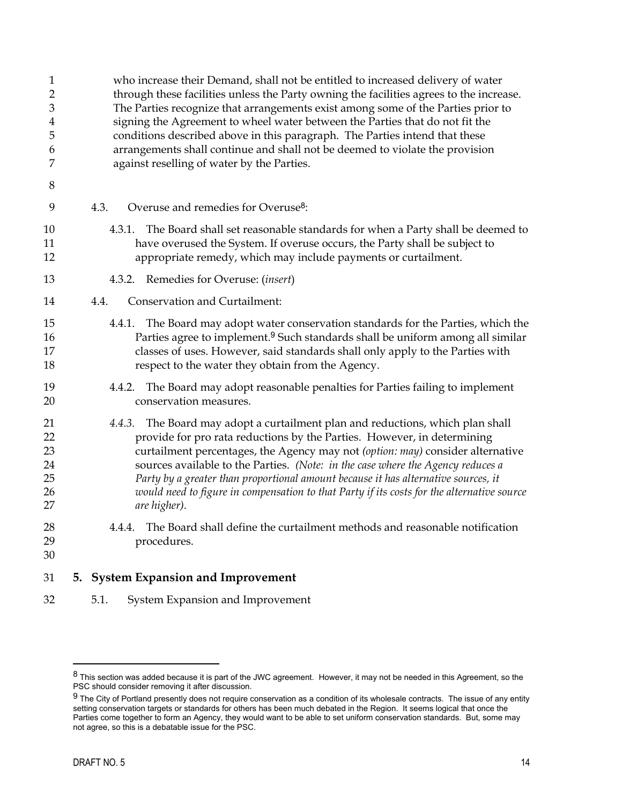<span id="page-14-0"></span>

| $\mathbf{1}$<br>$\overline{2}$<br>3<br>4<br>5<br>6<br>7<br>8 | who increase their Demand, shall not be entitled to increased delivery of water<br>through these facilities unless the Party owning the facilities agrees to the increase.<br>The Parties recognize that arrangements exist among some of the Parties prior to<br>signing the Agreement to wheel water between the Parties that do not fit the<br>conditions described above in this paragraph. The Parties intend that these<br>arrangements shall continue and shall not be deemed to violate the provision<br>against reselling of water by the Parties. |  |  |  |  |
|--------------------------------------------------------------|-------------------------------------------------------------------------------------------------------------------------------------------------------------------------------------------------------------------------------------------------------------------------------------------------------------------------------------------------------------------------------------------------------------------------------------------------------------------------------------------------------------------------------------------------------------|--|--|--|--|
| 9                                                            | Overuse and remedies for Overuse <sup>8</sup> :<br>4.3.                                                                                                                                                                                                                                                                                                                                                                                                                                                                                                     |  |  |  |  |
| 10<br>11<br>12                                               | The Board shall set reasonable standards for when a Party shall be deemed to<br>4.3.1.<br>have overused the System. If overuse occurs, the Party shall be subject to<br>appropriate remedy, which may include payments or curtailment.                                                                                                                                                                                                                                                                                                                      |  |  |  |  |
| 13                                                           | 4.3.2. Remedies for Overuse: (insert)                                                                                                                                                                                                                                                                                                                                                                                                                                                                                                                       |  |  |  |  |
| 14                                                           | <b>Conservation and Curtailment:</b><br>4.4.                                                                                                                                                                                                                                                                                                                                                                                                                                                                                                                |  |  |  |  |
| 15<br>16<br>17<br>18                                         | 4.4.1. The Board may adopt water conservation standards for the Parties, which the<br>Parties agree to implement. <sup>9</sup> Such standards shall be uniform among all similar<br>classes of uses. However, said standards shall only apply to the Parties with<br>respect to the water they obtain from the Agency.                                                                                                                                                                                                                                      |  |  |  |  |
| 19<br>20                                                     | 4.4.2. The Board may adopt reasonable penalties for Parties failing to implement<br>conservation measures.                                                                                                                                                                                                                                                                                                                                                                                                                                                  |  |  |  |  |
| 21<br>22<br>23<br>24<br>25<br>26<br>27                       | 4.4.3. The Board may adopt a curtailment plan and reductions, which plan shall<br>provide for pro rata reductions by the Parties. However, in determining<br>curtailment percentages, the Agency may not (option: may) consider alternative<br>sources available to the Parties. (Note: in the case where the Agency reduces a<br>Party by a greater than proportional amount because it has alternative sources, it<br>would need to figure in compensation to that Party if its costs for the alternative source<br>are higher).                          |  |  |  |  |
| 28<br>29<br>30                                               | The Board shall define the curtailment methods and reasonable notification<br>4.4.4.<br>procedures.                                                                                                                                                                                                                                                                                                                                                                                                                                                         |  |  |  |  |
| 31                                                           | 5. System Expansion and Improvement                                                                                                                                                                                                                                                                                                                                                                                                                                                                                                                         |  |  |  |  |

32 5.1. System Expansion and Improvement

<span id="page-14-1"></span> $^8$  This section was added because it is part of the JWC agreement. However, it may not be needed in this Agreement, so the PSC should consider removing it after discussion.

<span id="page-14-2"></span> $9$  The City of Portland presently does not require conservation as a condition of its wholesale contracts. The issue of any entity setting conservation targets or standards for others has been much debated in the Region. It seems logical that once the Parties come together to form an Agency, they would want to be able to set uniform conservation standards. But, some may not agree, so this is a debatable issue for the PSC.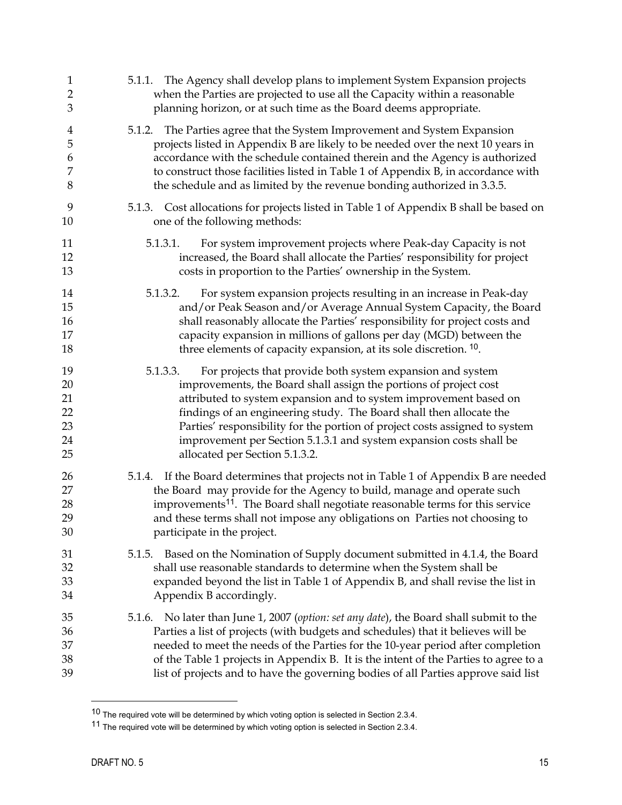| $\mathbf{1}$                           | 5.1.1. The Agency shall develop plans to implement System Expansion projects                                                                                                                                                                                                                                                                                                                                                                                                    |  |  |  |
|----------------------------------------|---------------------------------------------------------------------------------------------------------------------------------------------------------------------------------------------------------------------------------------------------------------------------------------------------------------------------------------------------------------------------------------------------------------------------------------------------------------------------------|--|--|--|
| $\overline{2}$                         | when the Parties are projected to use all the Capacity within a reasonable                                                                                                                                                                                                                                                                                                                                                                                                      |  |  |  |
| 3                                      | planning horizon, or at such time as the Board deems appropriate.                                                                                                                                                                                                                                                                                                                                                                                                               |  |  |  |
| 4                                      | 5.1.2. The Parties agree that the System Improvement and System Expansion                                                                                                                                                                                                                                                                                                                                                                                                       |  |  |  |
| 5                                      | projects listed in Appendix B are likely to be needed over the next 10 years in                                                                                                                                                                                                                                                                                                                                                                                                 |  |  |  |
| 6                                      | accordance with the schedule contained therein and the Agency is authorized                                                                                                                                                                                                                                                                                                                                                                                                     |  |  |  |
| 7                                      | to construct those facilities listed in Table 1 of Appendix B, in accordance with                                                                                                                                                                                                                                                                                                                                                                                               |  |  |  |
| $\,8\,$                                | the schedule and as limited by the revenue bonding authorized in 3.3.5.                                                                                                                                                                                                                                                                                                                                                                                                         |  |  |  |
| 9                                      | 5.1.3. Cost allocations for projects listed in Table 1 of Appendix B shall be based on                                                                                                                                                                                                                                                                                                                                                                                          |  |  |  |
| 10                                     | one of the following methods:                                                                                                                                                                                                                                                                                                                                                                                                                                                   |  |  |  |
| 11<br>12<br>13                         | For system improvement projects where Peak-day Capacity is not<br>5.1.3.1.<br>increased, the Board shall allocate the Parties' responsibility for project<br>costs in proportion to the Parties' ownership in the System.                                                                                                                                                                                                                                                       |  |  |  |
| 14<br>15<br>$16\,$<br>17<br>18         | 5.1.3.2.<br>For system expansion projects resulting in an increase in Peak-day<br>and/or Peak Season and/or Average Annual System Capacity, the Board<br>shall reasonably allocate the Parties' responsibility for project costs and<br>capacity expansion in millions of gallons per day (MGD) between the<br>three elements of capacity expansion, at its sole discretion. <sup>10</sup> .                                                                                    |  |  |  |
| 19<br>20<br>21<br>22<br>23<br>24<br>25 | 5.1.3.3.<br>For projects that provide both system expansion and system<br>improvements, the Board shall assign the portions of project cost<br>attributed to system expansion and to system improvement based on<br>findings of an engineering study. The Board shall then allocate the<br>Parties' responsibility for the portion of project costs assigned to system<br>improvement per Section 5.1.3.1 and system expansion costs shall be<br>allocated per Section 5.1.3.2. |  |  |  |
| 26                                     | 5.1.4. If the Board determines that projects not in Table 1 of Appendix B are needed                                                                                                                                                                                                                                                                                                                                                                                            |  |  |  |
| 27                                     | the Board may provide for the Agency to build, manage and operate such                                                                                                                                                                                                                                                                                                                                                                                                          |  |  |  |
| 28                                     | improvements <sup>11</sup> . The Board shall negotiate reasonable terms for this service                                                                                                                                                                                                                                                                                                                                                                                        |  |  |  |
| 29                                     | and these terms shall not impose any obligations on Parties not choosing to                                                                                                                                                                                                                                                                                                                                                                                                     |  |  |  |
| 30                                     | participate in the project.                                                                                                                                                                                                                                                                                                                                                                                                                                                     |  |  |  |
| 31<br>32<br>33<br>34                   | Based on the Nomination of Supply document submitted in 4.1.4, the Board<br>5.1.5.<br>shall use reasonable standards to determine when the System shall be<br>expanded beyond the list in Table 1 of Appendix B, and shall revise the list in<br>Appendix B accordingly.                                                                                                                                                                                                        |  |  |  |
| 35                                     | 5.1.6. No later than June 1, 2007 (option: set any date), the Board shall submit to the                                                                                                                                                                                                                                                                                                                                                                                         |  |  |  |
| 36                                     | Parties a list of projects (with budgets and schedules) that it believes will be                                                                                                                                                                                                                                                                                                                                                                                                |  |  |  |
| 37                                     | needed to meet the needs of the Parties for the 10-year period after completion                                                                                                                                                                                                                                                                                                                                                                                                 |  |  |  |
| 38                                     | of the Table 1 projects in Appendix B. It is the intent of the Parties to agree to a                                                                                                                                                                                                                                                                                                                                                                                            |  |  |  |
| 39                                     | list of projects and to have the governing bodies of all Parties approve said list                                                                                                                                                                                                                                                                                                                                                                                              |  |  |  |

<u>.</u>

<span id="page-15-0"></span> $10$  The required vote will be determined by which voting option is selected in Section 2.3.4.

<span id="page-15-1"></span><sup>11</sup> The required vote will be determined by which voting option is selected in Section 2.3.4.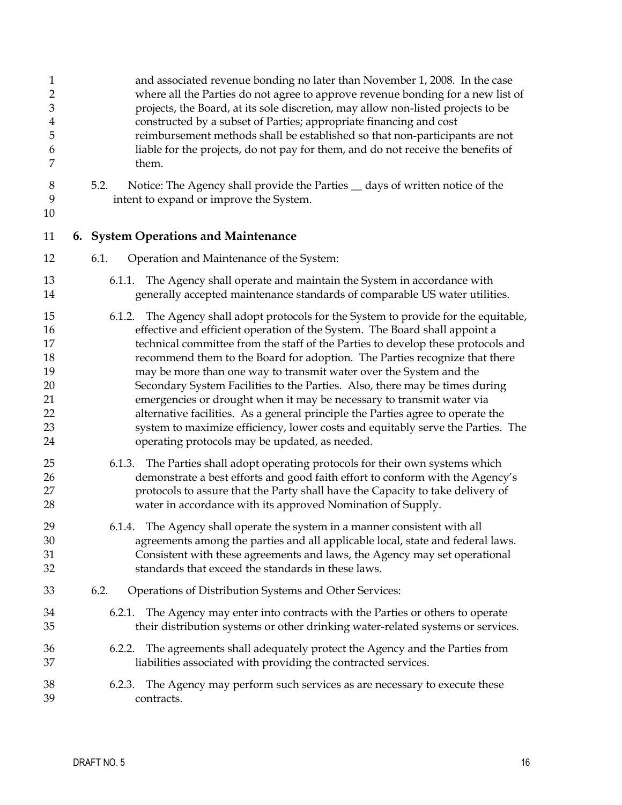<span id="page-16-0"></span>

| $\mathbf{1}$   | and associated revenue bonding no later than November 1, 2008. In the case           |
|----------------|--------------------------------------------------------------------------------------|
| $\overline{2}$ | where all the Parties do not agree to approve revenue bonding for a new list of      |
| 3              | projects, the Board, at its sole discretion, may allow non-listed projects to be     |
| $\overline{4}$ | constructed by a subset of Parties; appropriate financing and cost                   |
| 5              | reimbursement methods shall be established so that non-participants are not          |
| 6              | liable for the projects, do not pay for them, and do not receive the benefits of     |
| 7              | them.                                                                                |
| 8              | 5.2.                                                                                 |
| 9              | Notice: The Agency shall provide the Parties _ days of written notice of the         |
| 10             | intent to expand or improve the System.                                              |
| 11             | 6. System Operations and Maintenance                                                 |
| 12             | Operation and Maintenance of the System:<br>6.1.                                     |
| 13             | 6.1.1. The Agency shall operate and maintain the System in accordance with           |
| 14             | generally accepted maintenance standards of comparable US water utilities.           |
| 15             | 6.1.2. The Agency shall adopt protocols for the System to provide for the equitable, |
| 16             | effective and efficient operation of the System. The Board shall appoint a           |
| 17             | technical committee from the staff of the Parties to develop these protocols and     |
| 18             | recommend them to the Board for adoption. The Parties recognize that there           |
| 19             | may be more than one way to transmit water over the System and the                   |
| 20             | Secondary System Facilities to the Parties. Also, there may be times during          |
| 21             | emergencies or drought when it may be necessary to transmit water via                |
| 22             | alternative facilities. As a general principle the Parties agree to operate the      |
| 23             | system to maximize efficiency, lower costs and equitably serve the Parties. The      |
| 24             | operating protocols may be updated, as needed.                                       |
| 25             | 6.1.3. The Parties shall adopt operating protocols for their own systems which       |
| 26             | demonstrate a best efforts and good faith effort to conform with the Agency's        |
| 27             | protocols to assure that the Party shall have the Capacity to take delivery of       |
| 28             | water in accordance with its approved Nomination of Supply.                          |
| 29             | 6.1.4. The Agency shall operate the system in a manner consistent with all           |
| 30             | agreements among the parties and all applicable local, state and federal laws.       |
| 31             | Consistent with these agreements and laws, the Agency may set operational            |
| 32             | standards that exceed the standards in these laws.                                   |
| 33             | 6.2.<br>Operations of Distribution Systems and Other Services:                       |
| 34             | 6.2.1. The Agency may enter into contracts with the Parties or others to operate     |
| 35             | their distribution systems or other drinking water-related systems or services.      |
| 36             | 6.2.2. The agreements shall adequately protect the Agency and the Parties from       |
| 37             | liabilities associated with providing the contracted services.                       |
| 38             | 6.2.3. The Agency may perform such services as are necessary to execute these        |
| 39             | contracts.                                                                           |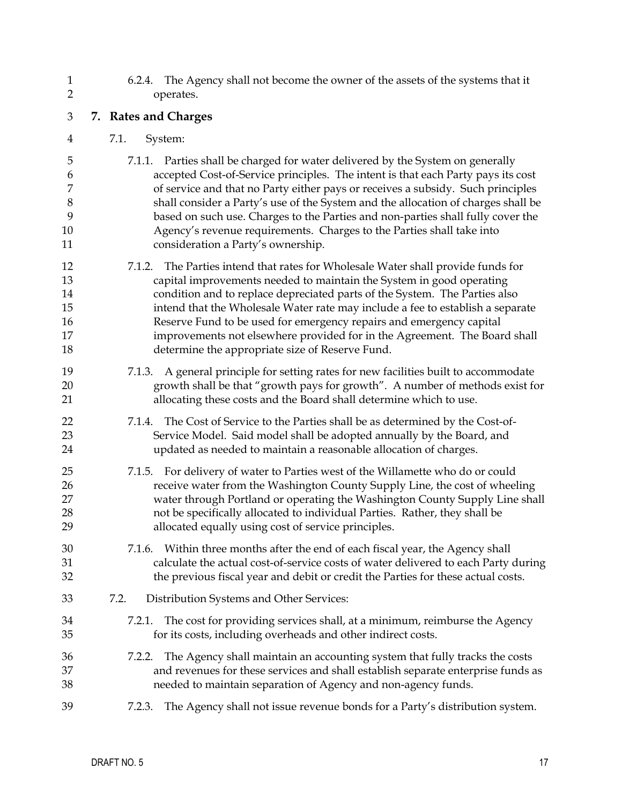<span id="page-17-0"></span>

| $\mathbf{1}$   | 6.2.4. The Agency shall not become the owner of the assets of the systems that it                                                                                                                                                                           |
|----------------|-------------------------------------------------------------------------------------------------------------------------------------------------------------------------------------------------------------------------------------------------------------|
| $\overline{2}$ | operates.                                                                                                                                                                                                                                                   |
| 3              | 7. Rates and Charges                                                                                                                                                                                                                                        |
| 4              | 7.1.<br>System:                                                                                                                                                                                                                                             |
| 5              | 7.1.1. Parties shall be charged for water delivered by the System on generally                                                                                                                                                                              |
| 6              | accepted Cost-of-Service principles. The intent is that each Party pays its cost                                                                                                                                                                            |
| 7              | of service and that no Party either pays or receives a subsidy. Such principles                                                                                                                                                                             |
| 8              | shall consider a Party's use of the System and the allocation of charges shall be                                                                                                                                                                           |
| 9              | based on such use. Charges to the Parties and non-parties shall fully cover the                                                                                                                                                                             |
| 10             | Agency's revenue requirements. Charges to the Parties shall take into                                                                                                                                                                                       |
| 11             | consideration a Party's ownership.                                                                                                                                                                                                                          |
| 12             | 7.1.2. The Parties intend that rates for Wholesale Water shall provide funds for                                                                                                                                                                            |
| 13             | capital improvements needed to maintain the System in good operating                                                                                                                                                                                        |
| 14             | condition and to replace depreciated parts of the System. The Parties also                                                                                                                                                                                  |
| 15             | intend that the Wholesale Water rate may include a fee to establish a separate                                                                                                                                                                              |
| 16             | Reserve Fund to be used for emergency repairs and emergency capital                                                                                                                                                                                         |
| 17             | improvements not elsewhere provided for in the Agreement. The Board shall                                                                                                                                                                                   |
| 18             | determine the appropriate size of Reserve Fund.                                                                                                                                                                                                             |
| 19             | 7.1.3. A general principle for setting rates for new facilities built to accommodate                                                                                                                                                                        |
| 20             | growth shall be that "growth pays for growth". A number of methods exist for                                                                                                                                                                                |
| 21             | allocating these costs and the Board shall determine which to use.                                                                                                                                                                                          |
| 22             | 7.1.4. The Cost of Service to the Parties shall be as determined by the Cost-of-                                                                                                                                                                            |
| 23             | Service Model. Said model shall be adopted annually by the Board, and                                                                                                                                                                                       |
| 24             | updated as needed to maintain a reasonable allocation of charges.                                                                                                                                                                                           |
| 25             | 7.1.5. For delivery of water to Parties west of the Willamette who do or could                                                                                                                                                                              |
| 26             | receive water from the Washington County Supply Line, the cost of wheeling                                                                                                                                                                                  |
| 27             | water through Portland or operating the Washington County Supply Line shall                                                                                                                                                                                 |
| 28             | not be specifically allocated to individual Parties. Rather, they shall be                                                                                                                                                                                  |
| 29             | allocated equally using cost of service principles.                                                                                                                                                                                                         |
| 30<br>31<br>32 | Within three months after the end of each fiscal year, the Agency shall<br>7.1.6.<br>calculate the actual cost-of-service costs of water delivered to each Party during<br>the previous fiscal year and debit or credit the Parties for these actual costs. |
| 33             | 7.2.<br>Distribution Systems and Other Services:                                                                                                                                                                                                            |
| 34<br>35       | The cost for providing services shall, at a minimum, reimburse the Agency<br>7.2.1.<br>for its costs, including overheads and other indirect costs.                                                                                                         |
| 36             | 7.2.2. The Agency shall maintain an accounting system that fully tracks the costs                                                                                                                                                                           |
| 37             | and revenues for these services and shall establish separate enterprise funds as                                                                                                                                                                            |
| 38             | needed to maintain separation of Agency and non-agency funds.                                                                                                                                                                                               |
| 39             | The Agency shall not issue revenue bonds for a Party's distribution system.<br>7.2.3.                                                                                                                                                                       |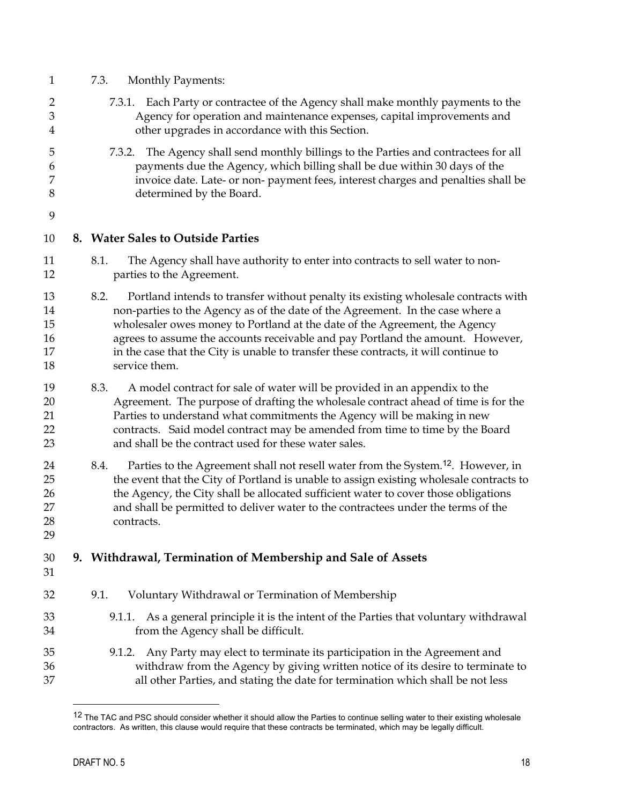<span id="page-18-0"></span>

| $\mathbf{1}$                     |                                                                                                                                                                                                                                                                                                                                                                                                                                                       | 7.3.<br><b>Monthly Payments:</b>                                                                                                                                                                                                                                                                                                                                                            |  |  |  |  |
|----------------------------------|-------------------------------------------------------------------------------------------------------------------------------------------------------------------------------------------------------------------------------------------------------------------------------------------------------------------------------------------------------------------------------------------------------------------------------------------------------|---------------------------------------------------------------------------------------------------------------------------------------------------------------------------------------------------------------------------------------------------------------------------------------------------------------------------------------------------------------------------------------------|--|--|--|--|
| $\overline{2}$<br>3<br>4         | Each Party or contractee of the Agency shall make monthly payments to the<br>7.3.1.<br>Agency for operation and maintenance expenses, capital improvements and<br>other upgrades in accordance with this Section.                                                                                                                                                                                                                                     |                                                                                                                                                                                                                                                                                                                                                                                             |  |  |  |  |
| 5<br>6<br>7<br>8                 | The Agency shall send monthly billings to the Parties and contractees for all<br>7.3.2.<br>payments due the Agency, which billing shall be due within 30 days of the<br>invoice date. Late- or non- payment fees, interest charges and penalties shall be<br>determined by the Board.                                                                                                                                                                 |                                                                                                                                                                                                                                                                                                                                                                                             |  |  |  |  |
| 9<br>10                          |                                                                                                                                                                                                                                                                                                                                                                                                                                                       | 8. Water Sales to Outside Parties                                                                                                                                                                                                                                                                                                                                                           |  |  |  |  |
| 11<br>12                         |                                                                                                                                                                                                                                                                                                                                                                                                                                                       | 8.1.<br>The Agency shall have authority to enter into contracts to sell water to non-<br>parties to the Agreement.                                                                                                                                                                                                                                                                          |  |  |  |  |
| 13<br>14<br>15<br>16<br>17<br>18 | 8.2.<br>Portland intends to transfer without penalty its existing wholesale contracts with<br>non-parties to the Agency as of the date of the Agreement. In the case where a<br>wholesaler owes money to Portland at the date of the Agreement, the Agency<br>agrees to assume the accounts receivable and pay Portland the amount. However,<br>in the case that the City is unable to transfer these contracts, it will continue to<br>service them. |                                                                                                                                                                                                                                                                                                                                                                                             |  |  |  |  |
| 19<br>20<br>21<br>22<br>23       |                                                                                                                                                                                                                                                                                                                                                                                                                                                       | 8.3.<br>A model contract for sale of water will be provided in an appendix to the<br>Agreement. The purpose of drafting the wholesale contract ahead of time is for the<br>Parties to understand what commitments the Agency will be making in new<br>contracts. Said model contract may be amended from time to time by the Board<br>and shall be the contract used for these water sales. |  |  |  |  |
| 24<br>25<br>26<br>27<br>28<br>29 |                                                                                                                                                                                                                                                                                                                                                                                                                                                       | Parties to the Agreement shall not resell water from the System. <sup>12</sup> . However, in<br>8.4.<br>the event that the City of Portland is unable to assign existing wholesale contracts to<br>the Agency, the City shall be allocated sufficient water to cover those obligations<br>and shall be permitted to deliver water to the contractees under the terms of the<br>contracts.   |  |  |  |  |
| 30<br>31                         |                                                                                                                                                                                                                                                                                                                                                                                                                                                       | 9. Withdrawal, Termination of Membership and Sale of Assets                                                                                                                                                                                                                                                                                                                                 |  |  |  |  |
| 32                               |                                                                                                                                                                                                                                                                                                                                                                                                                                                       | Voluntary Withdrawal or Termination of Membership<br>9.1.                                                                                                                                                                                                                                                                                                                                   |  |  |  |  |
| 33<br>34                         |                                                                                                                                                                                                                                                                                                                                                                                                                                                       | 9.1.1. As a general principle it is the intent of the Parties that voluntary withdrawal<br>from the Agency shall be difficult.                                                                                                                                                                                                                                                              |  |  |  |  |
| 35<br>36<br>37                   |                                                                                                                                                                                                                                                                                                                                                                                                                                                       | Any Party may elect to terminate its participation in the Agreement and<br>9.1.2.<br>withdraw from the Agency by giving written notice of its desire to terminate to<br>all other Parties, and stating the date for termination which shall be not less                                                                                                                                     |  |  |  |  |

<span id="page-18-1"></span><sup>&</sup>lt;sup>12</sup> The TAC and PSC should consider whether it should allow the Parties to continue selling water to their existing wholesale contractors. As written, this clause would require that these contracts be terminated, which may be legally difficult.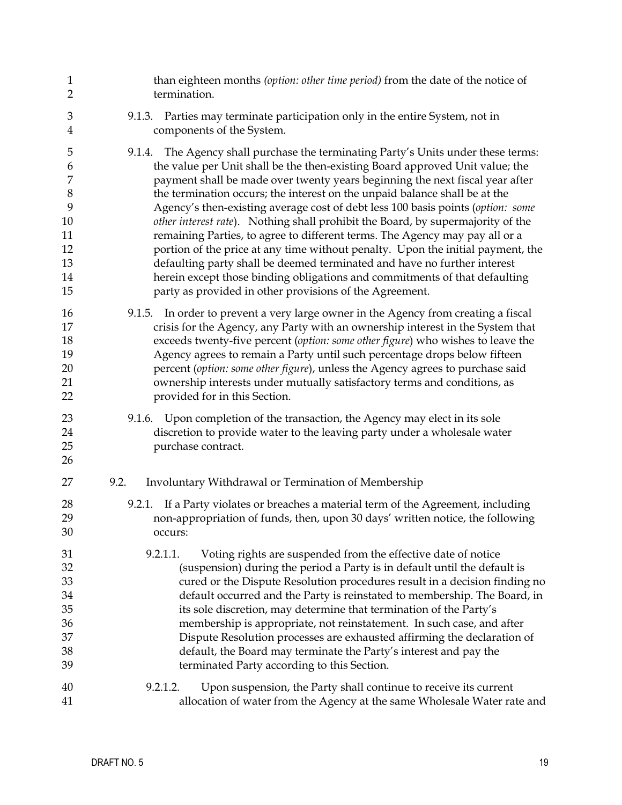| $\mathbf{1}$                                       | than eighteen months (option: other time period) from the date of the notice of                                                                                                                                                                                                                                                                                                                                                                                                                                                                                                                                                                                 |
|----------------------------------------------------|-----------------------------------------------------------------------------------------------------------------------------------------------------------------------------------------------------------------------------------------------------------------------------------------------------------------------------------------------------------------------------------------------------------------------------------------------------------------------------------------------------------------------------------------------------------------------------------------------------------------------------------------------------------------|
| $\overline{2}$                                     | termination.                                                                                                                                                                                                                                                                                                                                                                                                                                                                                                                                                                                                                                                    |
| $\mathfrak{Z}$                                     | 9.1.3. Parties may terminate participation only in the entire System, not in                                                                                                                                                                                                                                                                                                                                                                                                                                                                                                                                                                                    |
| 4                                                  | components of the System.                                                                                                                                                                                                                                                                                                                                                                                                                                                                                                                                                                                                                                       |
| 5                                                  | 9.1.4. The Agency shall purchase the terminating Party's Units under these terms:                                                                                                                                                                                                                                                                                                                                                                                                                                                                                                                                                                               |
| 6                                                  | the value per Unit shall be the then-existing Board approved Unit value; the                                                                                                                                                                                                                                                                                                                                                                                                                                                                                                                                                                                    |
| 7                                                  | payment shall be made over twenty years beginning the next fiscal year after                                                                                                                                                                                                                                                                                                                                                                                                                                                                                                                                                                                    |
| $\,8\,$                                            | the termination occurs; the interest on the unpaid balance shall be at the                                                                                                                                                                                                                                                                                                                                                                                                                                                                                                                                                                                      |
| 9                                                  | Agency's then-existing average cost of debt less 100 basis points (option: some                                                                                                                                                                                                                                                                                                                                                                                                                                                                                                                                                                                 |
| 10                                                 | other interest rate). Nothing shall prohibit the Board, by supermajority of the                                                                                                                                                                                                                                                                                                                                                                                                                                                                                                                                                                                 |
| 11                                                 | remaining Parties, to agree to different terms. The Agency may pay all or a                                                                                                                                                                                                                                                                                                                                                                                                                                                                                                                                                                                     |
| 12                                                 | portion of the price at any time without penalty. Upon the initial payment, the                                                                                                                                                                                                                                                                                                                                                                                                                                                                                                                                                                                 |
| 13                                                 | defaulting party shall be deemed terminated and have no further interest                                                                                                                                                                                                                                                                                                                                                                                                                                                                                                                                                                                        |
| 14                                                 | herein except those binding obligations and commitments of that defaulting                                                                                                                                                                                                                                                                                                                                                                                                                                                                                                                                                                                      |
| 15                                                 | party as provided in other provisions of the Agreement.                                                                                                                                                                                                                                                                                                                                                                                                                                                                                                                                                                                                         |
| 16                                                 | 9.1.5. In order to prevent a very large owner in the Agency from creating a fiscal                                                                                                                                                                                                                                                                                                                                                                                                                                                                                                                                                                              |
| 17                                                 | crisis for the Agency, any Party with an ownership interest in the System that                                                                                                                                                                                                                                                                                                                                                                                                                                                                                                                                                                                  |
| 18                                                 | exceeds twenty-five percent (option: some other figure) who wishes to leave the                                                                                                                                                                                                                                                                                                                                                                                                                                                                                                                                                                                 |
| 19                                                 | Agency agrees to remain a Party until such percentage drops below fifteen                                                                                                                                                                                                                                                                                                                                                                                                                                                                                                                                                                                       |
| 20                                                 | percent (option: some other figure), unless the Agency agrees to purchase said                                                                                                                                                                                                                                                                                                                                                                                                                                                                                                                                                                                  |
| 21                                                 | ownership interests under mutually satisfactory terms and conditions, as                                                                                                                                                                                                                                                                                                                                                                                                                                                                                                                                                                                        |
| 22                                                 | provided for in this Section.                                                                                                                                                                                                                                                                                                                                                                                                                                                                                                                                                                                                                                   |
| 23                                                 | Upon completion of the transaction, the Agency may elect in its sole                                                                                                                                                                                                                                                                                                                                                                                                                                                                                                                                                                                            |
| 24                                                 | 9.1.6.                                                                                                                                                                                                                                                                                                                                                                                                                                                                                                                                                                                                                                                          |
| 25                                                 | discretion to provide water to the leaving party under a wholesale water                                                                                                                                                                                                                                                                                                                                                                                                                                                                                                                                                                                        |
| 26                                                 | purchase contract.                                                                                                                                                                                                                                                                                                                                                                                                                                                                                                                                                                                                                                              |
| 27                                                 | 9.2.<br>Involuntary Withdrawal or Termination of Membership                                                                                                                                                                                                                                                                                                                                                                                                                                                                                                                                                                                                     |
| 28<br>29<br>30                                     | If a Party violates or breaches a material term of the Agreement, including<br>9.2.1.<br>non-appropriation of funds, then, upon 30 days' written notice, the following<br>occurs:                                                                                                                                                                                                                                                                                                                                                                                                                                                                               |
| 31<br>32<br>33<br>34<br>35<br>36<br>37<br>38<br>39 | 9.2.1.1.<br>Voting rights are suspended from the effective date of notice<br>(suspension) during the period a Party is in default until the default is<br>cured or the Dispute Resolution procedures result in a decision finding no<br>default occurred and the Party is reinstated to membership. The Board, in<br>its sole discretion, may determine that termination of the Party's<br>membership is appropriate, not reinstatement. In such case, and after<br>Dispute Resolution processes are exhausted affirming the declaration of<br>default, the Board may terminate the Party's interest and pay the<br>terminated Party according to this Section. |
| 40<br>41                                           | Upon suspension, the Party shall continue to receive its current<br>9.2.1.2.<br>allocation of water from the Agency at the same Wholesale Water rate and                                                                                                                                                                                                                                                                                                                                                                                                                                                                                                        |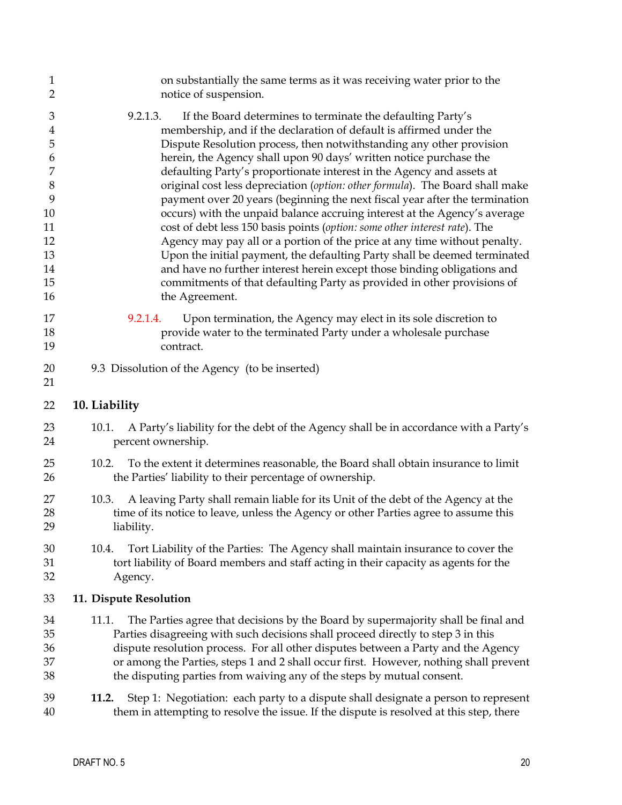<span id="page-20-0"></span>

| $\mathbf{1}$<br>$\overline{2}$                                                                                         | on substantially the same terms as it was receiving water prior to the<br>notice of suspension.                                                                                                                                                                                                                                                                                                                                                                                                                                                                                                                                                                                                                                                                                                                                                                                                                                                                                                                                     |
|------------------------------------------------------------------------------------------------------------------------|-------------------------------------------------------------------------------------------------------------------------------------------------------------------------------------------------------------------------------------------------------------------------------------------------------------------------------------------------------------------------------------------------------------------------------------------------------------------------------------------------------------------------------------------------------------------------------------------------------------------------------------------------------------------------------------------------------------------------------------------------------------------------------------------------------------------------------------------------------------------------------------------------------------------------------------------------------------------------------------------------------------------------------------|
| $\mathfrak{Z}$<br>$\overline{4}$<br>5<br>6<br>$\overline{7}$<br>$\,8\,$<br>9<br>10<br>11<br>12<br>13<br>14<br>15<br>16 | 9.2.1.3.<br>If the Board determines to terminate the defaulting Party's<br>membership, and if the declaration of default is affirmed under the<br>Dispute Resolution process, then notwithstanding any other provision<br>herein, the Agency shall upon 90 days' written notice purchase the<br>defaulting Party's proportionate interest in the Agency and assets at<br>original cost less depreciation (option: other formula). The Board shall make<br>payment over 20 years (beginning the next fiscal year after the termination<br>occurs) with the unpaid balance accruing interest at the Agency's average<br>cost of debt less 150 basis points (option: some other interest rate). The<br>Agency may pay all or a portion of the price at any time without penalty.<br>Upon the initial payment, the defaulting Party shall be deemed terminated<br>and have no further interest herein except those binding obligations and<br>commitments of that defaulting Party as provided in other provisions of<br>the Agreement. |
| 17<br>18<br>19                                                                                                         | Upon termination, the Agency may elect in its sole discretion to<br>9.2.1.4.<br>provide water to the terminated Party under a wholesale purchase<br>contract.                                                                                                                                                                                                                                                                                                                                                                                                                                                                                                                                                                                                                                                                                                                                                                                                                                                                       |
| 20<br>21                                                                                                               | 9.3 Dissolution of the Agency (to be inserted)                                                                                                                                                                                                                                                                                                                                                                                                                                                                                                                                                                                                                                                                                                                                                                                                                                                                                                                                                                                      |
| 22                                                                                                                     | 10. Liability                                                                                                                                                                                                                                                                                                                                                                                                                                                                                                                                                                                                                                                                                                                                                                                                                                                                                                                                                                                                                       |
| 23<br>24                                                                                                               | A Party's liability for the debt of the Agency shall be in accordance with a Party's<br>10.1.<br>percent ownership.                                                                                                                                                                                                                                                                                                                                                                                                                                                                                                                                                                                                                                                                                                                                                                                                                                                                                                                 |
| 25<br>26                                                                                                               | To the extent it determines reasonable, the Board shall obtain insurance to limit<br>10.2.<br>the Parties' liability to their percentage of ownership.                                                                                                                                                                                                                                                                                                                                                                                                                                                                                                                                                                                                                                                                                                                                                                                                                                                                              |
| 27<br>28<br>29                                                                                                         | A leaving Party shall remain liable for its Unit of the debt of the Agency at the<br>10.3.<br>time of its notice to leave, unless the Agency or other Parties agree to assume this<br>liability.                                                                                                                                                                                                                                                                                                                                                                                                                                                                                                                                                                                                                                                                                                                                                                                                                                    |
| 30<br>31<br>32                                                                                                         | Tort Liability of the Parties: The Agency shall maintain insurance to cover the<br>10.4.<br>tort liability of Board members and staff acting in their capacity as agents for the<br>Agency.                                                                                                                                                                                                                                                                                                                                                                                                                                                                                                                                                                                                                                                                                                                                                                                                                                         |
| 33                                                                                                                     | 11. Dispute Resolution                                                                                                                                                                                                                                                                                                                                                                                                                                                                                                                                                                                                                                                                                                                                                                                                                                                                                                                                                                                                              |
| 34<br>35<br>36<br>37<br>38                                                                                             | The Parties agree that decisions by the Board by supermajority shall be final and<br>11.1.<br>Parties disagreeing with such decisions shall proceed directly to step 3 in this<br>dispute resolution process. For all other disputes between a Party and the Agency<br>or among the Parties, steps 1 and 2 shall occur first. However, nothing shall prevent<br>the disputing parties from waiving any of the steps by mutual consent.                                                                                                                                                                                                                                                                                                                                                                                                                                                                                                                                                                                              |
| 39<br>40                                                                                                               | Step 1: Negotiation: each party to a dispute shall designate a person to represent<br>11.2.<br>them in attempting to resolve the issue. If the dispute is resolved at this step, there                                                                                                                                                                                                                                                                                                                                                                                                                                                                                                                                                                                                                                                                                                                                                                                                                                              |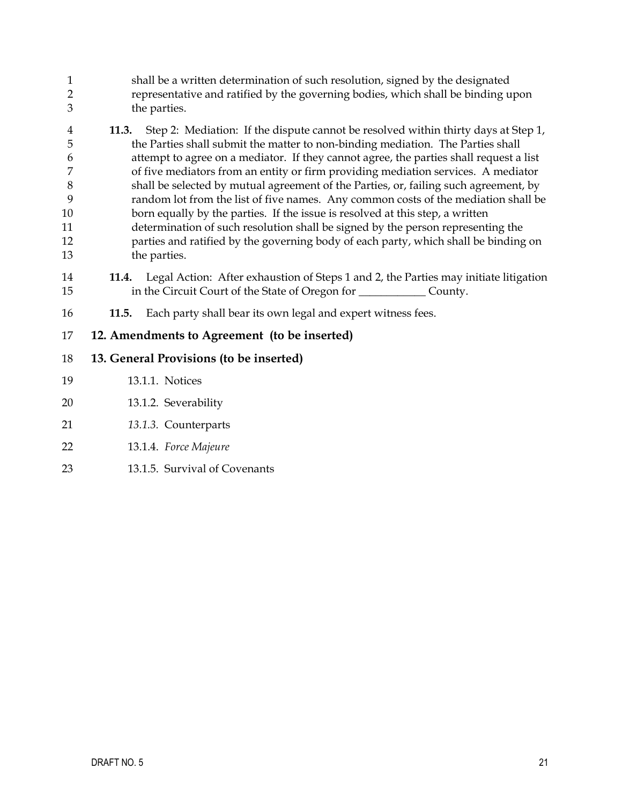<span id="page-21-0"></span>

| $\mathbf{1}$<br>$\overline{2}$<br>3                     | shall be a written determination of such resolution, signed by the designated<br>representative and ratified by the governing bodies, which shall be binding upon<br>the parties.                                                                                                                                                                                                                                                                                                                                                                                                                                                                                                                                                                                                                                      |  |  |  |  |
|---------------------------------------------------------|------------------------------------------------------------------------------------------------------------------------------------------------------------------------------------------------------------------------------------------------------------------------------------------------------------------------------------------------------------------------------------------------------------------------------------------------------------------------------------------------------------------------------------------------------------------------------------------------------------------------------------------------------------------------------------------------------------------------------------------------------------------------------------------------------------------------|--|--|--|--|
| 4<br>5<br>6<br>7<br>$\, 8$<br>9<br>10<br>11<br>12<br>13 | Step 2: Mediation: If the dispute cannot be resolved within thirty days at Step 1,<br>11.3.<br>the Parties shall submit the matter to non-binding mediation. The Parties shall<br>attempt to agree on a mediator. If they cannot agree, the parties shall request a list<br>of five mediators from an entity or firm providing mediation services. A mediator<br>shall be selected by mutual agreement of the Parties, or, failing such agreement, by<br>random lot from the list of five names. Any common costs of the mediation shall be<br>born equally by the parties. If the issue is resolved at this step, a written<br>determination of such resolution shall be signed by the person representing the<br>parties and ratified by the governing body of each party, which shall be binding on<br>the parties. |  |  |  |  |
| 14<br>15                                                | Legal Action: After exhaustion of Steps 1 and 2, the Parties may initiate litigation<br>11.4.<br>in the Circuit Court of the State of Oregon for ___________________ County.                                                                                                                                                                                                                                                                                                                                                                                                                                                                                                                                                                                                                                           |  |  |  |  |
| 16                                                      | Each party shall bear its own legal and expert witness fees.<br>11.5.                                                                                                                                                                                                                                                                                                                                                                                                                                                                                                                                                                                                                                                                                                                                                  |  |  |  |  |
| 17                                                      | 12. Amendments to Agreement (to be inserted)                                                                                                                                                                                                                                                                                                                                                                                                                                                                                                                                                                                                                                                                                                                                                                           |  |  |  |  |
| 18                                                      | 13. General Provisions (to be inserted)                                                                                                                                                                                                                                                                                                                                                                                                                                                                                                                                                                                                                                                                                                                                                                                |  |  |  |  |
| 19                                                      | 13.1.1. Notices                                                                                                                                                                                                                                                                                                                                                                                                                                                                                                                                                                                                                                                                                                                                                                                                        |  |  |  |  |
| 20                                                      | 13.1.2. Severability                                                                                                                                                                                                                                                                                                                                                                                                                                                                                                                                                                                                                                                                                                                                                                                                   |  |  |  |  |
| 21                                                      | 13.1.3. Counterparts                                                                                                                                                                                                                                                                                                                                                                                                                                                                                                                                                                                                                                                                                                                                                                                                   |  |  |  |  |
| 22                                                      | 13.1.4. Force Majeure                                                                                                                                                                                                                                                                                                                                                                                                                                                                                                                                                                                                                                                                                                                                                                                                  |  |  |  |  |
| 23                                                      | 13.1.5. Survival of Covenants                                                                                                                                                                                                                                                                                                                                                                                                                                                                                                                                                                                                                                                                                                                                                                                          |  |  |  |  |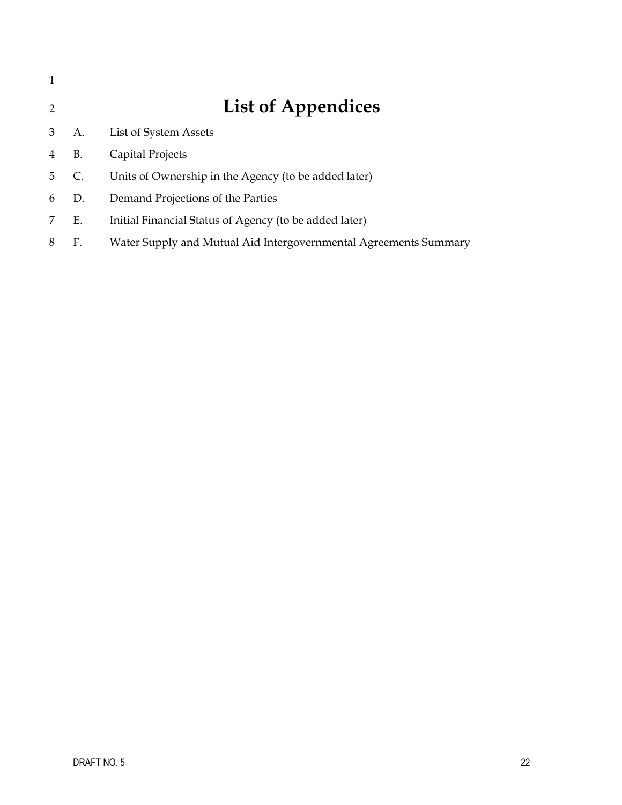| $\mathcal{P}$ |           | <b>List of Appendices</b>                                        |
|---------------|-----------|------------------------------------------------------------------|
| 3             | А.        | List of System Assets                                            |
| 4             | <b>B.</b> | Capital Projects                                                 |
| 5.            | C.        | Units of Ownership in the Agency (to be added later)             |
| 6             | D.        | Demand Projections of the Parties                                |
|               | Е.        | Initial Financial Status of Agency (to be added later)           |
| 8             | F.        | Water Supply and Mutual Aid Intergovernmental Agreements Summary |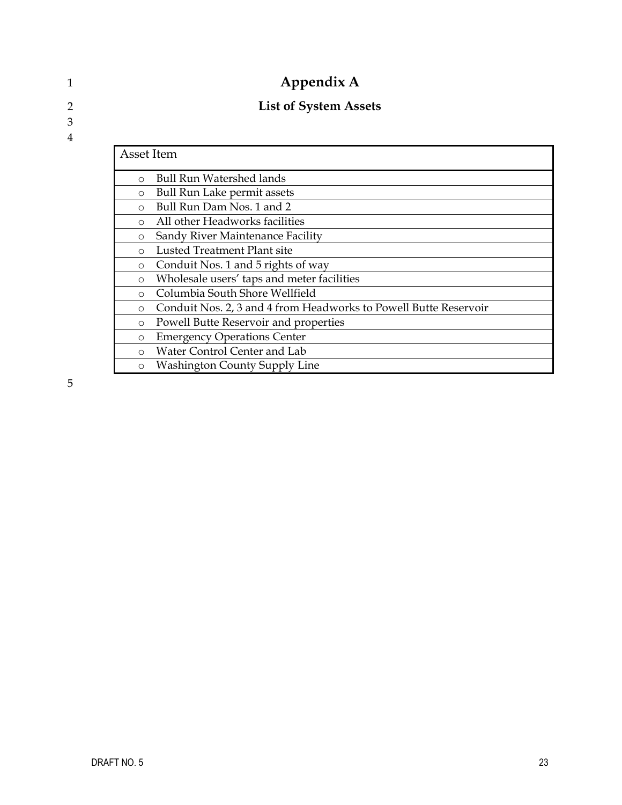| Appendix A                                                                  |                                      |  |  |
|-----------------------------------------------------------------------------|--------------------------------------|--|--|
|                                                                             | <b>List of System Assets</b>         |  |  |
|                                                                             |                                      |  |  |
|                                                                             | Asset Item                           |  |  |
| $\circ$                                                                     | <b>Bull Run Watershed lands</b>      |  |  |
| $\circ$                                                                     | <b>Bull Run Lake permit assets</b>   |  |  |
| Bull Run Dam Nos. 1 and 2<br>$\Omega$                                       |                                      |  |  |
| All other Headworks facilities<br>$\circ$                                   |                                      |  |  |
| Sandy River Maintenance Facility<br>$\circ$                                 |                                      |  |  |
| Lusted Treatment Plant site<br>∩                                            |                                      |  |  |
| Conduit Nos. 1 and 5 rights of way<br>$\circ$                               |                                      |  |  |
| Wholesale users' taps and meter facilities<br>$\circ$                       |                                      |  |  |
| Columbia South Shore Wellfield<br>$\circ$                                   |                                      |  |  |
| Conduit Nos. 2, 3 and 4 from Headworks to Powell Butte Reservoir<br>$\circ$ |                                      |  |  |
| Powell Butte Reservoir and properties<br>$\circ$                            |                                      |  |  |
| $\circ$                                                                     | <b>Emergency Operations Center</b>   |  |  |
| $\circ$                                                                     | Water Control Center and Lab         |  |  |
| $\circ$                                                                     | <b>Washington County Supply Line</b> |  |  |

5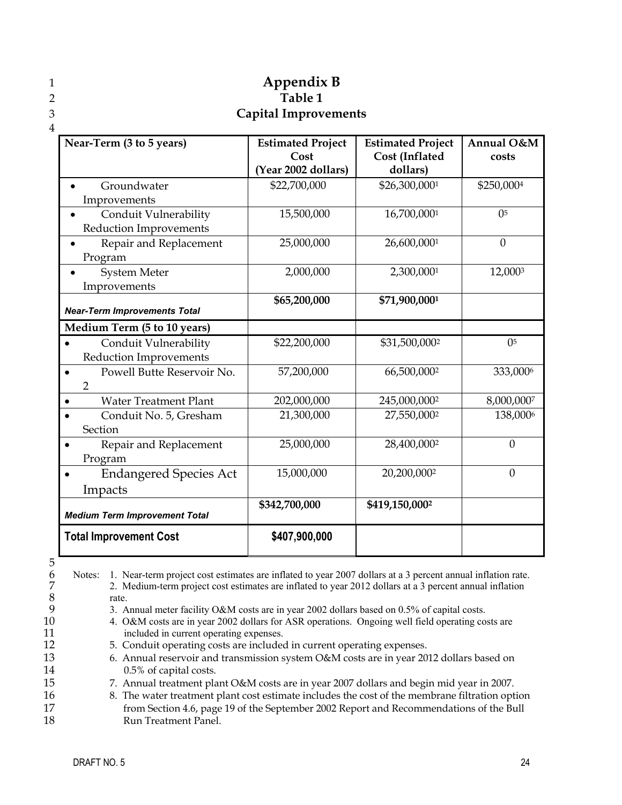|   |                                                                               | Appendix B                  |                                                                                                                              |                |
|---|-------------------------------------------------------------------------------|-----------------------------|------------------------------------------------------------------------------------------------------------------------------|----------------|
|   |                                                                               | Table 1                     |                                                                                                                              |                |
| 3 |                                                                               | <b>Capital Improvements</b> |                                                                                                                              |                |
| 4 |                                                                               |                             |                                                                                                                              |                |
|   | $\mathbf{M}$ $\mathbf{F}$ $\mathbf{G}$ $\mathbf{H}$ $\mathbf{F}$ $\mathbf{M}$ |                             | $\mathbf{F}$ and a set $\mathbf{D}$ and a set $\mathbf{F}$ . The set of a set $\mathbf{D}$ and $\mathbf{F}$ and $\mathbf{F}$ | $\blacksquare$ |

| Near-Term (3 to 5 years)                | <b>Estimated Project</b> | <b>Estimated Project</b> | Annual O&M     |
|-----------------------------------------|--------------------------|--------------------------|----------------|
|                                         | Cost                     | Cost (Inflated           | costs          |
|                                         | Year 2002 dollars)       | dollars)                 |                |
| Groundwater                             | \$22,700,000             | \$26,300,0001            | \$250,0004     |
| Improvements                            |                          |                          |                |
| Conduit Vulnerability                   | 15,500,000               | 16,700,0001              | 0 <sup>5</sup> |
| <b>Reduction Improvements</b>           |                          |                          |                |
| Repair and Replacement                  | 25,000,000               | 26,600,0001              | $\mathbf{0}$   |
| Program                                 |                          |                          |                |
| <b>System Meter</b>                     | 2,000,000                | 2,300,0001               | 12,0003        |
| Improvements                            |                          |                          |                |
|                                         | \$65,200,000             | \$71,900,0001            |                |
| <b>Near-Term Improvements Total</b>     |                          |                          |                |
| Medium Term (5 to 10 years)             |                          |                          |                |
| Conduit Vulnerability                   | \$22,200,000             | \$31,500,0002            | 0 <sup>5</sup> |
| <b>Reduction Improvements</b>           |                          |                          |                |
| Powell Butte Reservoir No.<br>$\bullet$ | 57,200,000               | 66,500,0002              | 333,0006       |
| $\overline{2}$                          |                          |                          |                |
| <b>Water Treatment Plant</b>            | 202,000,000              | 245,000,0002             | 8,000,0007     |
| Conduit No. 5, Gresham                  | 21,300,000               | 27,550,0002              | 138,0006       |
| Section                                 |                          |                          |                |
| Repair and Replacement<br>$\bullet$     | 25,000,000               | 28,400,0002              | $\overline{0}$ |
| Program                                 |                          |                          |                |
| <b>Endangered Species Act</b>           | 15,000,000               | 20,200,0002              | $\mathbf{0}$   |
| Impacts                                 |                          |                          |                |
|                                         | \$342,700,000            | \$419,150,0002           |                |
| <b>Medium Term Improvement Total</b>    |                          |                          |                |
| <b>Total Improvement Cost</b>           | \$407,900,000            |                          |                |

5 6

> 7 8 9

11

15

17 18

10 12 13 14 16 Notes: 1. Near-term project cost estimates are inflated to year 2007 dollars at a 3 percent annual inflation rate. 2. Medium-term project cost estimates are inflated to year 2012 dollars at a 3 percent annual inflation rate. 3. Annual meter facility O&M costs are in year 2002 dollars based on 0.5% of capital costs. 4. O&M costs are in year 2002 dollars for ASR operations. Ongoing well field operating costs are included in current operating expenses. 5. Conduit operating costs are included in current operating expenses. 6. Annual reservoir and transmission system O&M costs are in year 2012 dollars based on 0.5% of capital costs. 7. Annual treatment plant O&M costs are in year 2007 dollars and begin mid year in 2007. 8. The water treatment plant cost estimate includes the cost of the membrane filtration option from Section 4.6, page 19 of the September 2002 Report and Recommendations of the Bull Run Treatment Panel.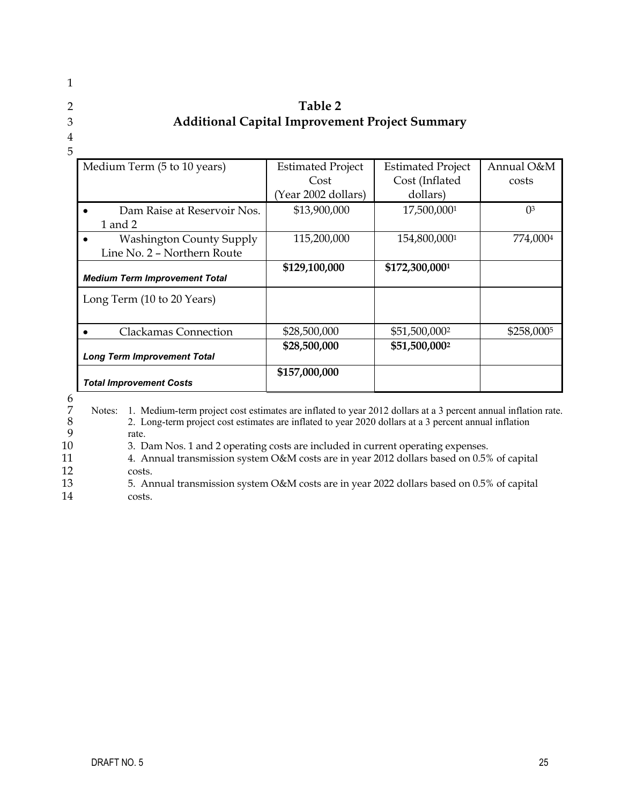### 1

## 2

### 3

### 4 5

11 12

| Medium Term (5 to 10 years)                  | <b>Estimated Project</b> | <b>Estimated Project</b> | Annual O&M            |
|----------------------------------------------|--------------------------|--------------------------|-----------------------|
|                                              | Cost                     | Cost (Inflated           | costs                 |
|                                              | (Year 2002 dollars)      | dollars)                 |                       |
| Dam Raise at Reservoir Nos.<br>$\bullet$     | \$13,900,000             | 17,500,0001              | $\Omega$ <sup>3</sup> |
| 1 and 2                                      |                          |                          |                       |
| <b>Washington County Supply</b><br>$\bullet$ | 115,200,000              | 154,800,0001             | 774,0004              |
| Line No. 2 - Northern Route                  |                          |                          |                       |
| <b>Medium Term Improvement Total</b>         | \$129,100,000            | \$172,300,0001           |                       |
| Long Term (10 to 20 Years)                   |                          |                          |                       |
| Clackamas Connection<br>$\bullet$            | \$28,500,000             | \$51,500,0002            | \$258,0005            |

**\$28,500,000 \$51,500,0002**

**Table 2 Additional Capital Improvement Project Summary**

| <b>Total Improvement Costs</b> |  |
|--------------------------------|--|
|                                |  |

*Long Term Improvement Total*

6 7  $\frac{1}{8}$ 9 10 Notes: 1. Medium-term project cost estimates are inflated to year 2012 dollars at a 3 percent annual inflation rate. 2. Long-term project cost estimates are inflated to year 2020 dollars at a 3 percent annual inflation rate.

 **\$157,000,000**

3. Dam Nos. 1 and 2 operating costs are included in current operating expenses.

4. Annual transmission system O&M costs are in year 2012 dollars based on 0.5% of capital costs.

13 14 5. Annual transmission system O&M costs are in year 2022 dollars based on 0.5% of capital costs.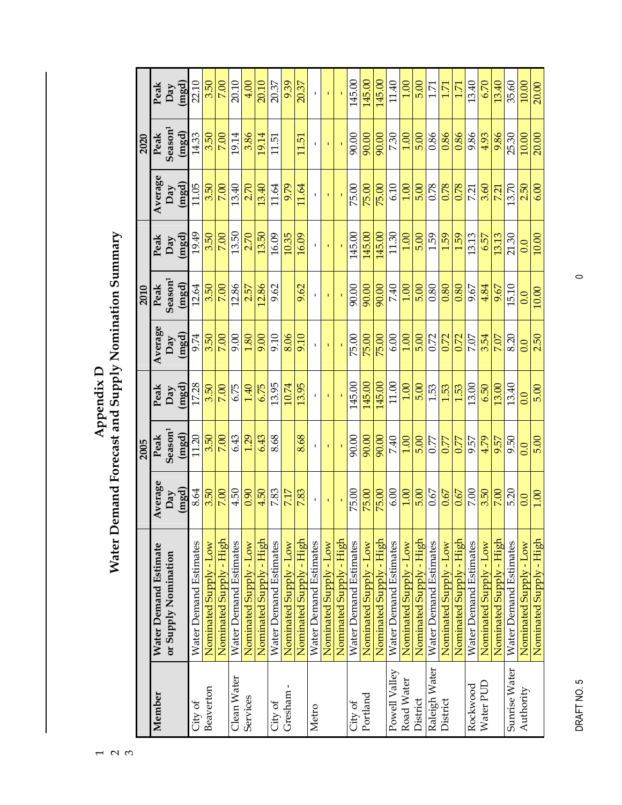|               |                               |                   | 2005                |             |             | 2010                |        |         | 2020                |        |
|---------------|-------------------------------|-------------------|---------------------|-------------|-------------|---------------------|--------|---------|---------------------|--------|
| Member        | Water Demand Estimate         | Average           | Peak                | Peak        | Average     | Peak                | Peak   | Average | Peak                | Peak   |
|               | or Supply Nomination          | Day               | Season <sup>1</sup> | Day         | Day         | Season <sup>1</sup> | Day    | Day     | Season <sup>1</sup> | Day    |
|               |                               | (mgd)             | (mgd)               | (mgd)       | (mgd)       | (mgd)               | (mgd)  | (mgd)   | (mgd)               | (mgd)  |
| City of       | Water Demand Estimates        | 8.64              | 11.20               | 17.28       | 9.74        | 12.64               | 19.49  | 11.05   | 14.33               | 22.10  |
| Beaverton     | Nominated Supply - Low        | 3.50              | 3.50                | 3.50        | 3.50        | 3.50                | 3.50   | 3.50    | 3.50                | 3.50   |
|               | Nominated Supply - High       | 7.00              | 7.00                | 7.00        | 7.00        | 7.00                | 7.00   | 7.00    | 7.00                | 7.00   |
| Clean Water   | <b>Water Demand Estimates</b> | 4.50              | 6.43                | 6.75        | 9.00        | 12.86               | 13.50  | 13.40   | 19.14               | 20.10  |
| Services      | Nominated Supply - Low        | 0.90              | 1.29                | 1.40        | 1.80        | 2.57                | 2.70   | 2.70    | 3.86                | 4.00   |
|               | Nominated Supply - High       | 4.50              | 6.43                | 6.75        | 9.00        | 12.86               | 13.50  | 13.40   | 19.14               | 20.10  |
| City of       | Water Demand Estimates        | 7.83              | 8.68                | 13.95       | 9.10        | 9.62                | 16.09  | 11.64   | 11.51               | 20.37  |
| Gresham -     | Nominated Supply - Low        | 7.17              |                     | 10.74       | 8.06        |                     | 10.35  | 9.79    |                     | 9.39   |
|               | Nominated Supply - High       | 7.83              | 8.68                | 13.95       | 9.10        | 9.62                | 16.09  | 11.64   | 11.51               | 20.37  |
| Metro         | Water Demand Estimates        | $\mathbf{I}$      | $\mathbf I$         | τ.          |             |                     |        |         |                     |        |
|               | Nominated Supply - Low        |                   | $\mathbf{I}$        | $\mathbf I$ | $\mathbf I$ |                     |        |         |                     |        |
|               | Nominated Supply - High       |                   |                     |             |             |                     |        |         |                     |        |
| City of       | Water Demand Estimates        | 75.00             | 90.00               | 145.00      | 75.00       | 90.00               | 145.00 | 75.00   | 90.00               | 145.00 |
| Portland      | Nominated Supply - Low        | 75.00             | 90.00               | 145.00      | 75.00       | 90.00               | 145.00 | 75.00   | 90.00               | 145.00 |
|               | Nominated Supply - High       | 75.00             | 90.00               | 145.00      | 75.00       | 90.00               | 145.00 | 75.00   | 90.00               | 145.00 |
| Powell Valley | Water Demand Estimates        | 6.00              | 7.40                | 11.00       | 6.00        | 7.40                | 11.30  | 6.10    | 7.30                | 11.40  |
| Road Water    | Nominated Supply - Low        | 1.00              | 1.00                | 1.00        | 00.1        | 1.00                | 1.00   | 1.00    | 1.00                | 00.1   |
| District      | Nominated Supply - High       | 5.00              | 5.00                | 5.00        | 5.00        | 5.00                | 5.00   | 5.00    | 5.00                | 5.00   |
| Raleigh Water | Water Demand Estimates        | 0.67              | 0.77                | 1.53        | 0.72        | 0.80                | 1.59   | 0.78    | 0.86                | 171    |
| District      | Nominated Supply - Low        | 0.67              | 0.77                | 1.53        | 0.72        | 0.80                | 1.59   | 0.78    | 0.86                | 1.71   |
|               | Nominated Supply - High       | 0.67              | 0.77                | 1.53        | 0.72        | 0.80                | 1.59   | 0.78    | 0.86                | 1.71   |
| Rockwood      | Water Demand Estimates        | 7.00              | 9.57                | 13.00       | 7.07        | 9.67                | 13.13  | 7.21    | 9.86                | 13.40  |
| Water PUD     | Nominated Supply - Low        | 3.50              | 4.79                | 6.50        | 3.54        | 4.84                | 6.57   | 3.60    | 4.93                | 6.70   |
|               | Nominated Supply - High       | 7.00              | 9.57                | 13.00       | 7.07        | 9.67                | 13.13  | 7.21    | 9.86                | 13.40  |
| Sunrise Water | Water Demand Estimates        | 5.20              | 9.50                | 13.40       | 8.20        | 15.10               | 21.30  | 13.70   | 25.30               | 35.60  |
| Authority     | Nominated Supply - Low        | 0.0               | 0.0                 | 0.0         | 0.0         | 0.0                 | 0.0    | 2.50    | 10.00               | 10.00  |
|               | Nominated Supply - High       | $\overline{1.00}$ | 5.00                | 5.00        | 2.50        | 10.00               | 10.00  | 6.00    | 20.00               | 20.00  |

Appendix D<br>Water Demand Forecast and Supply Nomination Summary **Water Demand Forecast and Supply Nomination Summary Appendix D** 

DRAFT NO. 5 0 DRAFT NO.5

 $\circ$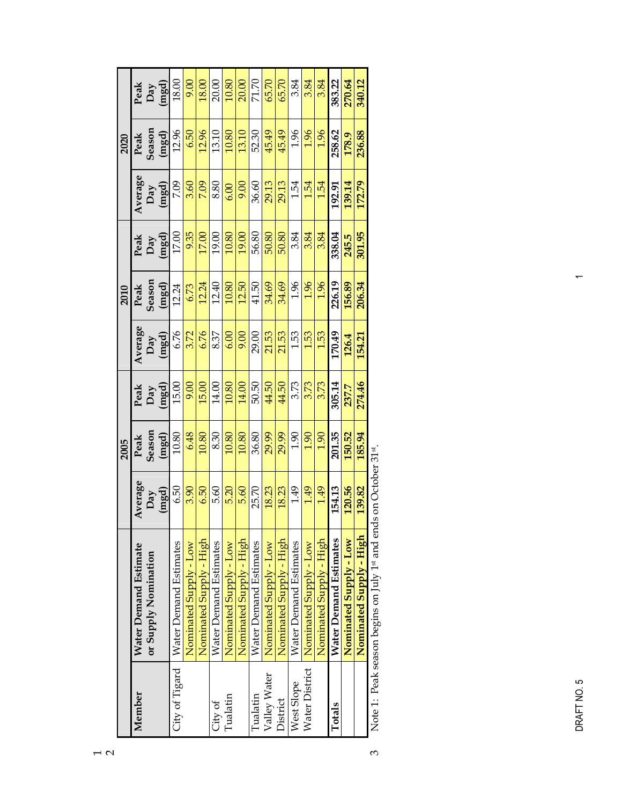|                |                                                         |                    | 2005   |              |              | 2010   |              |              | 2020   |              |
|----------------|---------------------------------------------------------|--------------------|--------|--------------|--------------|--------|--------------|--------------|--------|--------------|
| Member         | Water Demand Estimate                                   | Average            | Peak   | Peak         | Average      | Peak   | Peak         | Average      | Peak   | Peak         |
|                | or Supply Nomination                                    | Day                | Season |              |              | Season |              |              | Season | Day<br>(mgd) |
|                |                                                         | (mgd)              | (mgd)  | Day<br>(mgd) | Day<br>(mgd) | (mgd)  | Day<br>(mgd) | Day<br>(mgd) | (mgd)  |              |
| City of Tigard | Water Demand Estimates                                  | 6.50               | 10.80  | 15.00        | 6.76         | 12.24  | 17.00        | 7.09         | 12.96  | 18.00        |
|                | Nominated Supply - Low                                  | 3.90               | 6.48   | 9.00         | 3.72         | 6.73   | 9.35         | 3.60         | 6.50   | 9.00         |
|                | Nominated Supply - High                                 | 6.50               | 10.80  | 15.00        | 6.76         | 12.24  | 17.00        | 7.09         | 12.96  | 18.00        |
| City of        | Water Demand Estimates                                  | 5.60               | 8.30   | 14.00        | 8.37         | 12.40  | 19.00        | 8.80         | 13.10  | 20.00        |
| Tualatin       | Nominated Supply - Low                                  | 5.20               | 10.80  | 10.80        | 6.00         | 10.80  | 10.80        | 6.00         | 10.80  | 10.80        |
|                | Nominated Supply - High                                 | 5.60               | 10.80  | 14.00        | 9.00         | 12.50  | 19.00        | 9.00         | 13.10  | 20.00        |
| Tualatin       | Water Demand Estimates                                  | 25.70              | 36.80  | 50.50        | 29.00        | 41.50  | 56.80        | 36.60        | 52.30  | 71.70        |
| Valley Water   | Nominated Supply - Low                                  | 18.23              | 29.99  | 44.50        | 21.53        | 34.69  | 50.80        | 29.13        | 45.49  | 65.70        |
| District       | Nominated Supply - High                                 | 18.23              | 29.99  | 44.50        | 21.53        | 34.69  | 50.80        | 29.13        | 45.49  | 65.70        |
| West Slope     | Water Demand Estimates                                  | 1.49               | 1.90   | 3.73         | 1.53         | 1.96   | 3.84         | 1.54         | 1.96   | 3.84         |
| Water District | Nominated Supply - Low                                  | 1.49               | 1.90   | 3.73         | 1.53         | 1.96   | 3.84         | 1.54         | 1.96   | 3.84         |
|                | Nominated Supply - High                                 | 1.49               | 1.90   | 3.73         | 1.53         | 1.96   | 3.84         | 1.54         | 1.96   | 3.84         |
| Totals         | Water Demand Estimates                                  | 154.13             | 201.35 | 305.14       | 170.49       | 226.19 | 338.04       | 192.91       | 258.62 | 383.22       |
|                | Nominated Supply - Low                                  | 120.56             | 150.52 | 237.7        | 126.4        | 156.89 | 245.5        | 139.14       | 178.9  | 270.64       |
|                | Nominated Supply - High                                 | 139.82             | 185.94 | 274.46       | 154.21       | 206.34 | 301.95       | 172.79       | 236.88 | 340.12       |
|                | Note 1: Peak season begins on $\text{Iniv}$ 1st and enc | Is on October 31st |        |              |              |        |              |              |        |              |

Note 1: Peak season begins on July 1st and ends on October 31st. 3 ł. رسال<br>ر ₹ ăη

 $\infty$